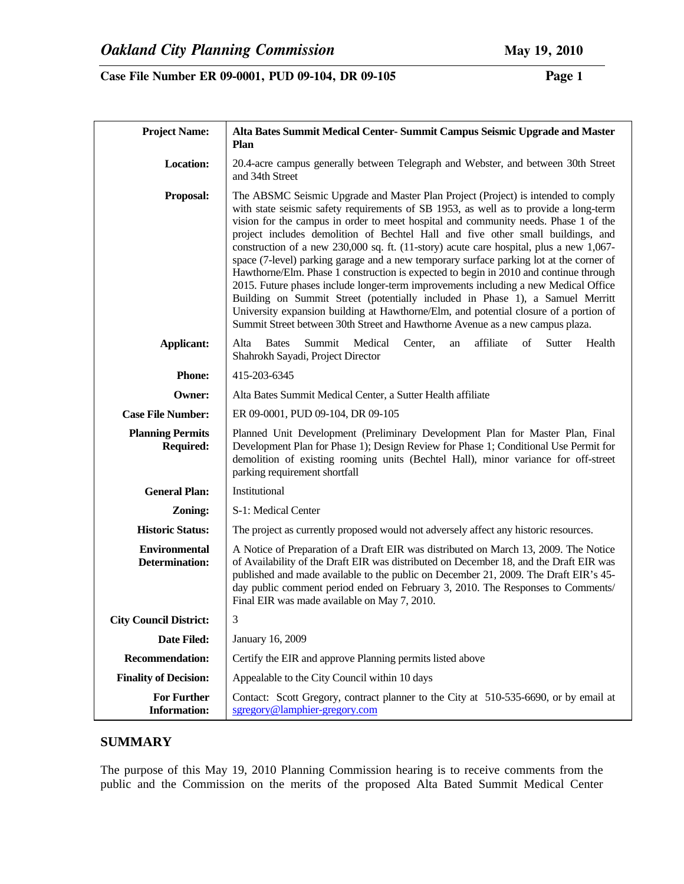| <b>Project Name:</b>                          | Alta Bates Summit Medical Center- Summit Campus Seismic Upgrade and Master<br><b>Plan</b>                                                                                                                                                                                                                                                                                                                                                                                                                                                                                                                                                                                                                                                                                                                                                                                                                                                                                            |  |
|-----------------------------------------------|--------------------------------------------------------------------------------------------------------------------------------------------------------------------------------------------------------------------------------------------------------------------------------------------------------------------------------------------------------------------------------------------------------------------------------------------------------------------------------------------------------------------------------------------------------------------------------------------------------------------------------------------------------------------------------------------------------------------------------------------------------------------------------------------------------------------------------------------------------------------------------------------------------------------------------------------------------------------------------------|--|
| Location:                                     | 20.4-acre campus generally between Telegraph and Webster, and between 30th Street<br>and 34th Street                                                                                                                                                                                                                                                                                                                                                                                                                                                                                                                                                                                                                                                                                                                                                                                                                                                                                 |  |
| Proposal:                                     | The ABSMC Seismic Upgrade and Master Plan Project (Project) is intended to comply<br>with state seismic safety requirements of SB 1953, as well as to provide a long-term<br>vision for the campus in order to meet hospital and community needs. Phase 1 of the<br>project includes demolition of Bechtel Hall and five other small buildings, and<br>construction of a new 230,000 sq. ft. (11-story) acute care hospital, plus a new 1,067-<br>space (7-level) parking garage and a new temporary surface parking lot at the corner of<br>Hawthorne/Elm. Phase 1 construction is expected to begin in 2010 and continue through<br>2015. Future phases include longer-term improvements including a new Medical Office<br>Building on Summit Street (potentially included in Phase 1), a Samuel Merritt<br>University expansion building at Hawthorne/Elm, and potential closure of a portion of<br>Summit Street between 30th Street and Hawthorne Avenue as a new campus plaza. |  |
| <b>Applicant:</b>                             | affiliate<br>Alta<br>Medical<br>Sutter<br>Health<br><b>Bates</b><br>Summit<br>Center,<br>of<br>an<br>Shahrokh Sayadi, Project Director                                                                                                                                                                                                                                                                                                                                                                                                                                                                                                                                                                                                                                                                                                                                                                                                                                               |  |
| <b>Phone:</b>                                 | 415-203-6345                                                                                                                                                                                                                                                                                                                                                                                                                                                                                                                                                                                                                                                                                                                                                                                                                                                                                                                                                                         |  |
| Owner:                                        | Alta Bates Summit Medical Center, a Sutter Health affiliate                                                                                                                                                                                                                                                                                                                                                                                                                                                                                                                                                                                                                                                                                                                                                                                                                                                                                                                          |  |
| <b>Case File Number:</b>                      | ER 09-0001, PUD 09-104, DR 09-105                                                                                                                                                                                                                                                                                                                                                                                                                                                                                                                                                                                                                                                                                                                                                                                                                                                                                                                                                    |  |
| <b>Planning Permits</b><br><b>Required:</b>   | Planned Unit Development (Preliminary Development Plan for Master Plan, Final<br>Development Plan for Phase 1); Design Review for Phase 1; Conditional Use Permit for<br>demolition of existing rooming units (Bechtel Hall), minor variance for off-street<br>parking requirement shortfall                                                                                                                                                                                                                                                                                                                                                                                                                                                                                                                                                                                                                                                                                         |  |
| <b>General Plan:</b>                          | Institutional                                                                                                                                                                                                                                                                                                                                                                                                                                                                                                                                                                                                                                                                                                                                                                                                                                                                                                                                                                        |  |
| Zoning:                                       | S-1: Medical Center                                                                                                                                                                                                                                                                                                                                                                                                                                                                                                                                                                                                                                                                                                                                                                                                                                                                                                                                                                  |  |
| <b>Historic Status:</b>                       | The project as currently proposed would not adversely affect any historic resources.                                                                                                                                                                                                                                                                                                                                                                                                                                                                                                                                                                                                                                                                                                                                                                                                                                                                                                 |  |
| <b>Environmental</b><br><b>Determination:</b> | A Notice of Preparation of a Draft EIR was distributed on March 13, 2009. The Notice<br>of Availability of the Draft EIR was distributed on December 18, and the Draft EIR was<br>published and made available to the public on December 21, 2009. The Draft EIR's 45-<br>day public comment period ended on February 3, 2010. The Responses to Comments/<br>Final EIR was made available on May 7, 2010.                                                                                                                                                                                                                                                                                                                                                                                                                                                                                                                                                                            |  |
| <b>City Council District:</b>                 | 3                                                                                                                                                                                                                                                                                                                                                                                                                                                                                                                                                                                                                                                                                                                                                                                                                                                                                                                                                                                    |  |
| Date Filed:                                   | January 16, 2009                                                                                                                                                                                                                                                                                                                                                                                                                                                                                                                                                                                                                                                                                                                                                                                                                                                                                                                                                                     |  |
| <b>Recommendation:</b>                        | Certify the EIR and approve Planning permits listed above                                                                                                                                                                                                                                                                                                                                                                                                                                                                                                                                                                                                                                                                                                                                                                                                                                                                                                                            |  |
| <b>Finality of Decision:</b>                  | Appealable to the City Council within 10 days                                                                                                                                                                                                                                                                                                                                                                                                                                                                                                                                                                                                                                                                                                                                                                                                                                                                                                                                        |  |
| <b>For Further</b><br><b>Information:</b>     | Contact: Scott Gregory, contract planner to the City at 510-535-6690, or by email at<br>sgregory@lamphier-gregory.com                                                                                                                                                                                                                                                                                                                                                                                                                                                                                                                                                                                                                                                                                                                                                                                                                                                                |  |

# **SUMMARY**

The purpose of this May 19, 2010 Planning Commission hearing is to receive comments from the public and the Commission on the merits of the proposed Alta Bated Summit Medical Center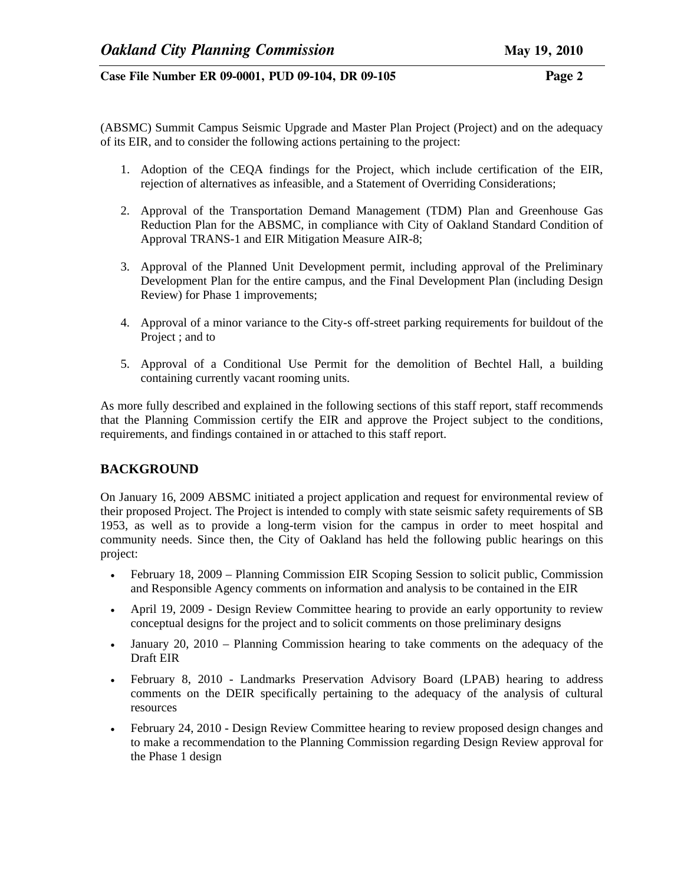(ABSMC) Summit Campus Seismic Upgrade and Master Plan Project (Project) and on the adequacy of its EIR, and to consider the following actions pertaining to the project:

- 1. Adoption of the CEQA findings for the Project, which include certification of the EIR, rejection of alternatives as infeasible, and a Statement of Overriding Considerations;
- 2. Approval of the Transportation Demand Management (TDM) Plan and Greenhouse Gas Reduction Plan for the ABSMC, in compliance with City of Oakland Standard Condition of Approval TRANS-1 and EIR Mitigation Measure AIR-8;
- 3. Approval of the Planned Unit Development permit, including approval of the Preliminary Development Plan for the entire campus, and the Final Development Plan (including Design Review) for Phase 1 improvements;
- 4. Approval of a minor variance to the City-s off-street parking requirements for buildout of the Project ; and to
- 5. Approval of a Conditional Use Permit for the demolition of Bechtel Hall, a building containing currently vacant rooming units.

As more fully described and explained in the following sections of this staff report, staff recommends that the Planning Commission certify the EIR and approve the Project subject to the conditions, requirements, and findings contained in or attached to this staff report.

# **BACKGROUND**

On January 16, 2009 ABSMC initiated a project application and request for environmental review of their proposed Project. The Project is intended to comply with state seismic safety requirements of SB 1953, as well as to provide a long-term vision for the campus in order to meet hospital and community needs. Since then, the City of Oakland has held the following public hearings on this project:

- February 18, 2009 Planning Commission EIR Scoping Session to solicit public, Commission and Responsible Agency comments on information and analysis to be contained in the EIR
- April 19, 2009 Design Review Committee hearing to provide an early opportunity to review conceptual designs for the project and to solicit comments on those preliminary designs
- January 20, 2010 Planning Commission hearing to take comments on the adequacy of the Draft EIR
- February 8, 2010 Landmarks Preservation Advisory Board (LPAB) hearing to address comments on the DEIR specifically pertaining to the adequacy of the analysis of cultural resources
- February 24, 2010 Design Review Committee hearing to review proposed design changes and to make a recommendation to the Planning Commission regarding Design Review approval for the Phase 1 design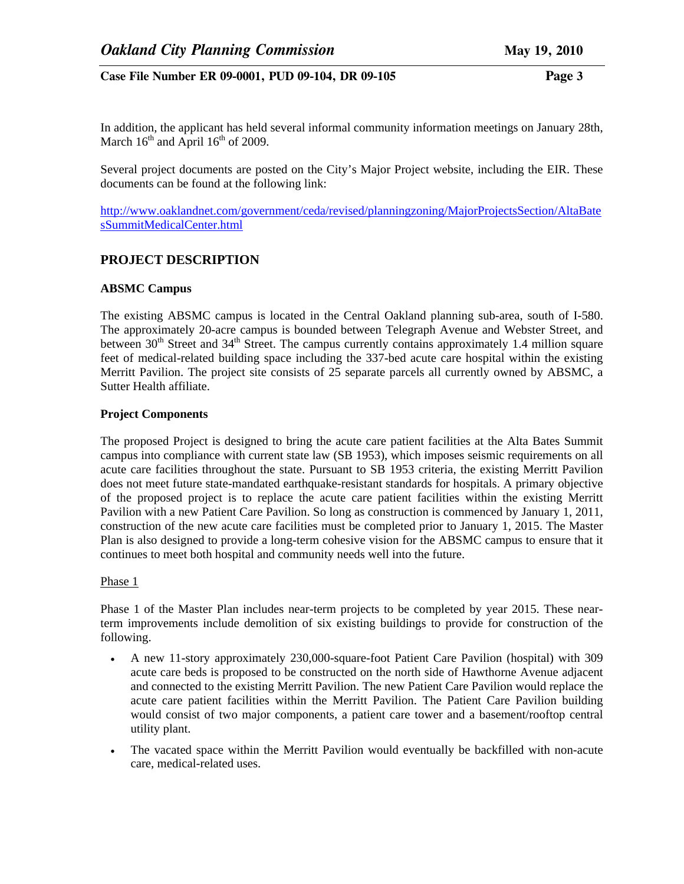In addition, the applicant has held several informal community information meetings on January 28th, March  $16^{th}$  and April  $16^{th}$  of 2009.

Several project documents are posted on the City's Major Project website, including the EIR. These documents can be found at the following link:

http://www.oaklandnet.com/government/ceda/revised/planningzoning/MajorProjectsSection/AltaBate sSummitMedicalCenter.html

## **PROJECT DESCRIPTION**

#### **ABSMC Campus**

The existing ABSMC campus is located in the Central Oakland planning sub-area, south of I-580. The approximately 20-acre campus is bounded between Telegraph Avenue and Webster Street, and between  $30<sup>th</sup>$  Street and  $34<sup>th</sup>$  Street. The campus currently contains approximately 1.4 million square feet of medical-related building space including the 337-bed acute care hospital within the existing Merritt Pavilion. The project site consists of 25 separate parcels all currently owned by ABSMC, a Sutter Health affiliate.

#### **Project Components**

The proposed Project is designed to bring the acute care patient facilities at the Alta Bates Summit campus into compliance with current state law (SB 1953), which imposes seismic requirements on all acute care facilities throughout the state. Pursuant to SB 1953 criteria, the existing Merritt Pavilion does not meet future state-mandated earthquake-resistant standards for hospitals. A primary objective of the proposed project is to replace the acute care patient facilities within the existing Merritt Pavilion with a new Patient Care Pavilion. So long as construction is commenced by January 1, 2011, construction of the new acute care facilities must be completed prior to January 1, 2015. The Master Plan is also designed to provide a long-term cohesive vision for the ABSMC campus to ensure that it continues to meet both hospital and community needs well into the future.

#### Phase 1

Phase 1 of the Master Plan includes near-term projects to be completed by year 2015. These nearterm improvements include demolition of six existing buildings to provide for construction of the following.

- A new 11-story approximately 230,000-square-foot Patient Care Pavilion (hospital) with 309 acute care beds is proposed to be constructed on the north side of Hawthorne Avenue adjacent and connected to the existing Merritt Pavilion. The new Patient Care Pavilion would replace the acute care patient facilities within the Merritt Pavilion. The Patient Care Pavilion building would consist of two major components, a patient care tower and a basement/rooftop central utility plant.
- The vacated space within the Merritt Pavilion would eventually be backfilled with non-acute care, medical-related uses.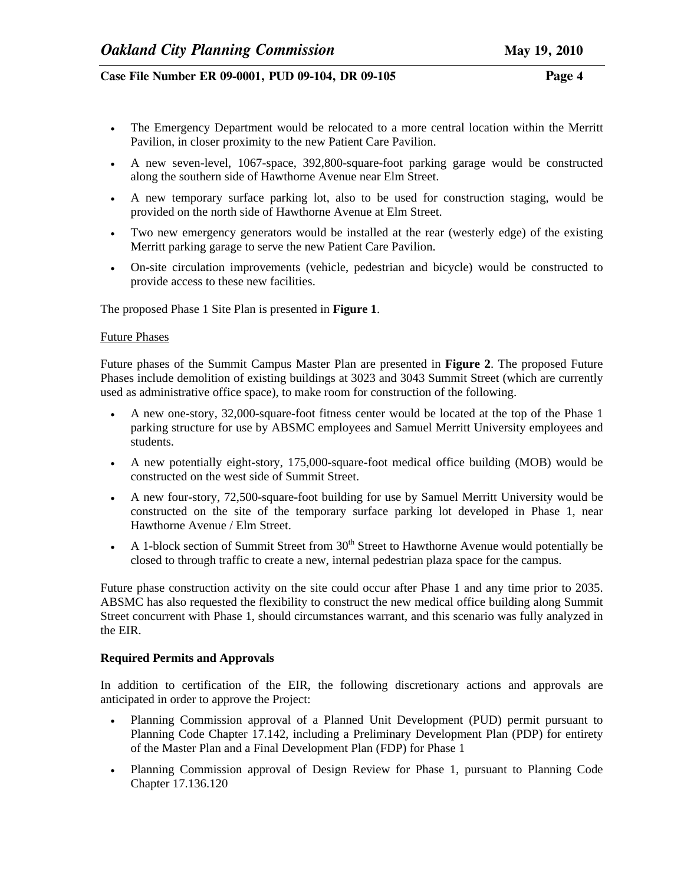- The Emergency Department would be relocated to a more central location within the Merritt Pavilion, in closer proximity to the new Patient Care Pavilion.
- A new seven-level, 1067-space, 392,800-square-foot parking garage would be constructed along the southern side of Hawthorne Avenue near Elm Street.
- A new temporary surface parking lot, also to be used for construction staging, would be provided on the north side of Hawthorne Avenue at Elm Street.
- Two new emergency generators would be installed at the rear (westerly edge) of the existing Merritt parking garage to serve the new Patient Care Pavilion.
- On-site circulation improvements (vehicle, pedestrian and bicycle) would be constructed to provide access to these new facilities.

The proposed Phase 1 Site Plan is presented in **Figure 1**.

#### Future Phases

Future phases of the Summit Campus Master Plan are presented in **Figure 2**. The proposed Future Phases include demolition of existing buildings at 3023 and 3043 Summit Street (which are currently used as administrative office space), to make room for construction of the following.

- A new one-story, 32,000-square-foot fitness center would be located at the top of the Phase 1 parking structure for use by ABSMC employees and Samuel Merritt University employees and students.
- A new potentially eight-story, 175,000-square-foot medical office building (MOB) would be constructed on the west side of Summit Street.
- A new four-story, 72,500-square-foot building for use by Samuel Merritt University would be constructed on the site of the temporary surface parking lot developed in Phase 1, near Hawthorne Avenue / Elm Street.
- A 1-block section of Summit Street from  $30<sup>th</sup>$  Street to Hawthorne Avenue would potentially be closed to through traffic to create a new, internal pedestrian plaza space for the campus.

Future phase construction activity on the site could occur after Phase 1 and any time prior to 2035. ABSMC has also requested the flexibility to construct the new medical office building along Summit Street concurrent with Phase 1, should circumstances warrant, and this scenario was fully analyzed in the EIR.

## **Required Permits and Approvals**

In addition to certification of the EIR, the following discretionary actions and approvals are anticipated in order to approve the Project:

- Planning Commission approval of a Planned Unit Development (PUD) permit pursuant to Planning Code Chapter 17.142, including a Preliminary Development Plan (PDP) for entirety of the Master Plan and a Final Development Plan (FDP) for Phase 1
- Planning Commission approval of Design Review for Phase 1, pursuant to Planning Code Chapter 17.136.120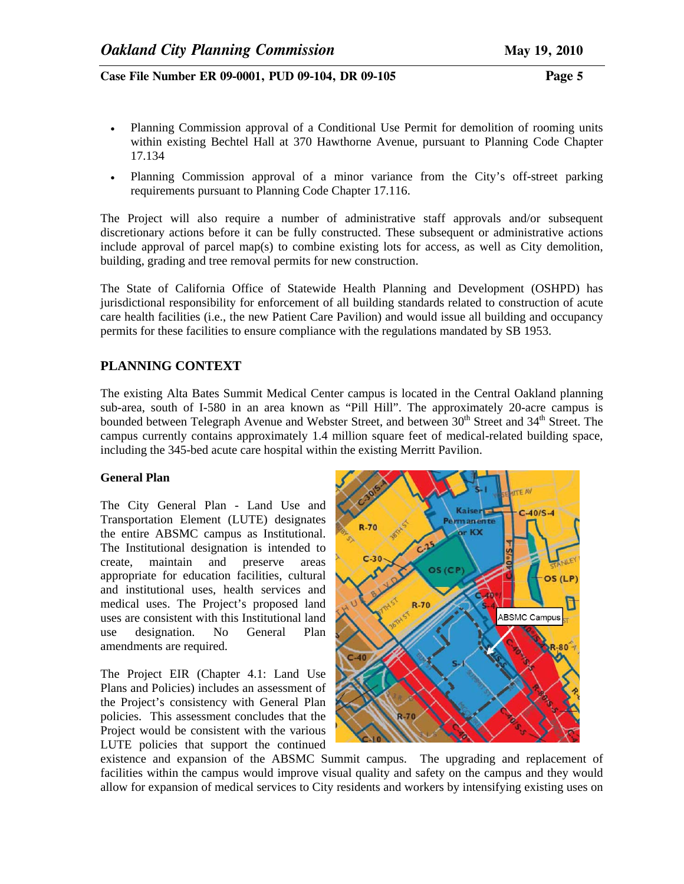- Planning Commission approval of a Conditional Use Permit for demolition of rooming units within existing Bechtel Hall at 370 Hawthorne Avenue, pursuant to Planning Code Chapter 17.134
- Planning Commission approval of a minor variance from the City's off-street parking requirements pursuant to Planning Code Chapter 17.116.

The Project will also require a number of administrative staff approvals and/or subsequent discretionary actions before it can be fully constructed. These subsequent or administrative actions include approval of parcel map(s) to combine existing lots for access, as well as City demolition, building, grading and tree removal permits for new construction.

The State of California Office of Statewide Health Planning and Development (OSHPD) has jurisdictional responsibility for enforcement of all building standards related to construction of acute care health facilities (i.e., the new Patient Care Pavilion) and would issue all building and occupancy permits for these facilities to ensure compliance with the regulations mandated by SB 1953.

# **PLANNING CONTEXT**

The existing Alta Bates Summit Medical Center campus is located in the Central Oakland planning sub-area, south of I-580 in an area known as "Pill Hill". The approximately 20-acre campus is bounded between Telegraph Avenue and Webster Street, and between 30<sup>th</sup> Street and 34<sup>th</sup> Street. The campus currently contains approximately 1.4 million square feet of medical-related building space, including the 345-bed acute care hospital within the existing Merritt Pavilion.

## **General Plan**

The City General Plan - Land Use and Transportation Element (LUTE) designates the entire ABSMC campus as Institutional. The Institutional designation is intended to create, maintain and preserve areas appropriate for education facilities, cultural and institutional uses, health services and medical uses. The Project's proposed land uses are consistent with this Institutional land use designation. No General Plan amendments are required.

The Project EIR (Chapter 4.1: Land Use Plans and Policies) includes an assessment of the Project's consistency with General Plan policies. This assessment concludes that the Project would be consistent with the various LUTE policies that support the continued



existence and expansion of the ABSMC Summit campus. The upgrading and replacement of facilities within the campus would improve visual quality and safety on the campus and they would allow for expansion of medical services to City residents and workers by intensifying existing uses on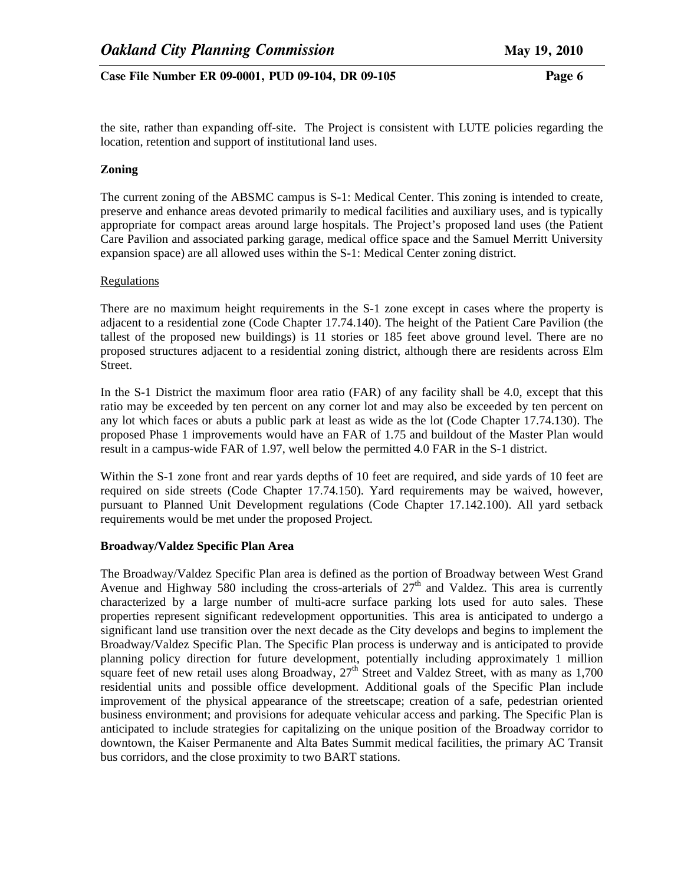the site, rather than expanding off-site. The Project is consistent with LUTE policies regarding the location, retention and support of institutional land uses.

## **Zoning**

The current zoning of the ABSMC campus is S-1: Medical Center. This zoning is intended to create, preserve and enhance areas devoted primarily to medical facilities and auxiliary uses, and is typically appropriate for compact areas around large hospitals. The Project's proposed land uses (the Patient Care Pavilion and associated parking garage, medical office space and the Samuel Merritt University expansion space) are all allowed uses within the S-1: Medical Center zoning district.

#### Regulations

There are no maximum height requirements in the S-1 zone except in cases where the property is adjacent to a residential zone (Code Chapter 17.74.140). The height of the Patient Care Pavilion (the tallest of the proposed new buildings) is 11 stories or 185 feet above ground level. There are no proposed structures adjacent to a residential zoning district, although there are residents across Elm Street.

In the S-1 District the maximum floor area ratio (FAR) of any facility shall be 4.0, except that this ratio may be exceeded by ten percent on any corner lot and may also be exceeded by ten percent on any lot which faces or abuts a public park at least as wide as the lot (Code Chapter 17.74.130). The proposed Phase 1 improvements would have an FAR of 1.75 and buildout of the Master Plan would result in a campus-wide FAR of 1.97, well below the permitted 4.0 FAR in the S-1 district.

Within the S-1 zone front and rear yards depths of 10 feet are required, and side yards of 10 feet are required on side streets (Code Chapter 17.74.150). Yard requirements may be waived, however, pursuant to Planned Unit Development regulations (Code Chapter 17.142.100). All yard setback requirements would be met under the proposed Project.

## **Broadway/Valdez Specific Plan Area**

The Broadway/Valdez Specific Plan area is defined as the portion of Broadway between West Grand Avenue and Highway 580 including the cross-arterials of  $27<sup>th</sup>$  and Valdez. This area is currently characterized by a large number of multi-acre surface parking lots used for auto sales. These properties represent significant redevelopment opportunities. This area is anticipated to undergo a significant land use transition over the next decade as the City develops and begins to implement the Broadway/Valdez Specific Plan. The Specific Plan process is underway and is anticipated to provide planning policy direction for future development, potentially including approximately 1 million square feet of new retail uses along Broadway,  $27<sup>th</sup>$  Street and Valdez Street, with as many as 1,700 residential units and possible office development. Additional goals of the Specific Plan include improvement of the physical appearance of the streetscape; creation of a safe, pedestrian oriented business environment; and provisions for adequate vehicular access and parking. The Specific Plan is anticipated to include strategies for capitalizing on the unique position of the Broadway corridor to downtown, the Kaiser Permanente and Alta Bates Summit medical facilities, the primary AC Transit bus corridors, and the close proximity to two BART stations.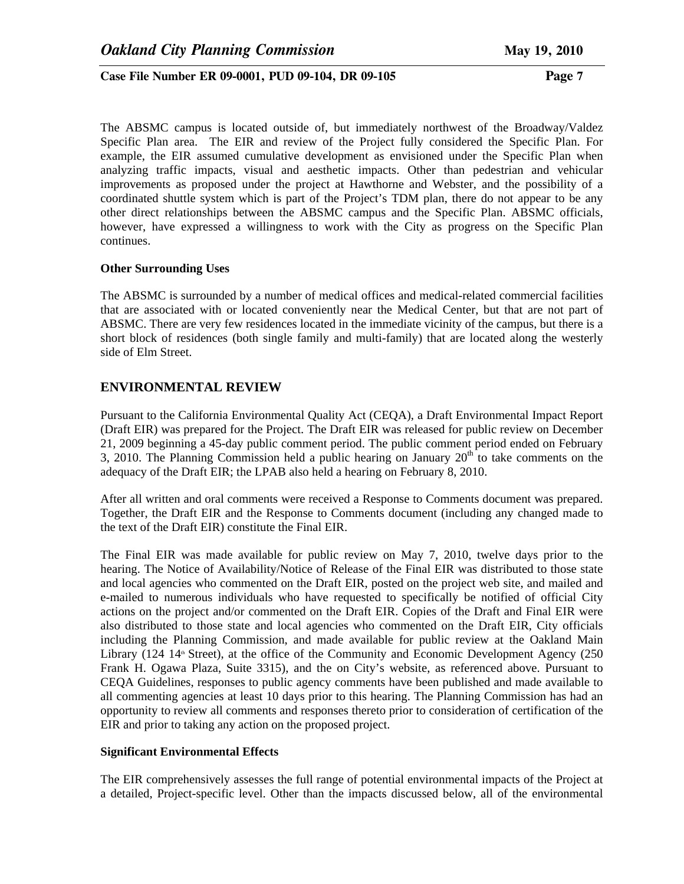The ABSMC campus is located outside of, but immediately northwest of the Broadway/Valdez Specific Plan area. The EIR and review of the Project fully considered the Specific Plan. For example, the EIR assumed cumulative development as envisioned under the Specific Plan when analyzing traffic impacts, visual and aesthetic impacts. Other than pedestrian and vehicular improvements as proposed under the project at Hawthorne and Webster, and the possibility of a coordinated shuttle system which is part of the Project's TDM plan, there do not appear to be any other direct relationships between the ABSMC campus and the Specific Plan. ABSMC officials, however, have expressed a willingness to work with the City as progress on the Specific Plan continues.

#### **Other Surrounding Uses**

The ABSMC is surrounded by a number of medical offices and medical-related commercial facilities that are associated with or located conveniently near the Medical Center, but that are not part of ABSMC. There are very few residences located in the immediate vicinity of the campus, but there is a short block of residences (both single family and multi-family) that are located along the westerly side of Elm Street.

# **ENVIRONMENTAL REVIEW**

Pursuant to the California Environmental Quality Act (CEQA), a Draft Environmental Impact Report (Draft EIR) was prepared for the Project. The Draft EIR was released for public review on December 21, 2009 beginning a 45-day public comment period. The public comment period ended on February 3, 2010. The Planning Commission held a public hearing on January  $20<sup>th</sup>$  to take comments on the adequacy of the Draft EIR; the LPAB also held a hearing on February 8, 2010.

After all written and oral comments were received a Response to Comments document was prepared. Together, the Draft EIR and the Response to Comments document (including any changed made to the text of the Draft EIR) constitute the Final EIR.

The Final EIR was made available for public review on May 7, 2010, twelve days prior to the hearing. The Notice of Availability/Notice of Release of the Final EIR was distributed to those state and local agencies who commented on the Draft EIR, posted on the project web site, and mailed and e-mailed to numerous individuals who have requested to specifically be notified of official City actions on the project and/or commented on the Draft EIR. Copies of the Draft and Final EIR were also distributed to those state and local agencies who commented on the Draft EIR, City officials including the Planning Commission, and made available for public review at the Oakland Main Library (124  $14<sup>th</sup>$  Street), at the office of the Community and Economic Development Agency (250 Frank H. Ogawa Plaza, Suite 3315), and the on City's website, as referenced above. Pursuant to CEQA Guidelines, responses to public agency comments have been published and made available to all commenting agencies at least 10 days prior to this hearing. The Planning Commission has had an opportunity to review all comments and responses thereto prior to consideration of certification of the EIR and prior to taking any action on the proposed project.

## **Significant Environmental Effects**

The EIR comprehensively assesses the full range of potential environmental impacts of the Project at a detailed, Project-specific level. Other than the impacts discussed below, all of the environmental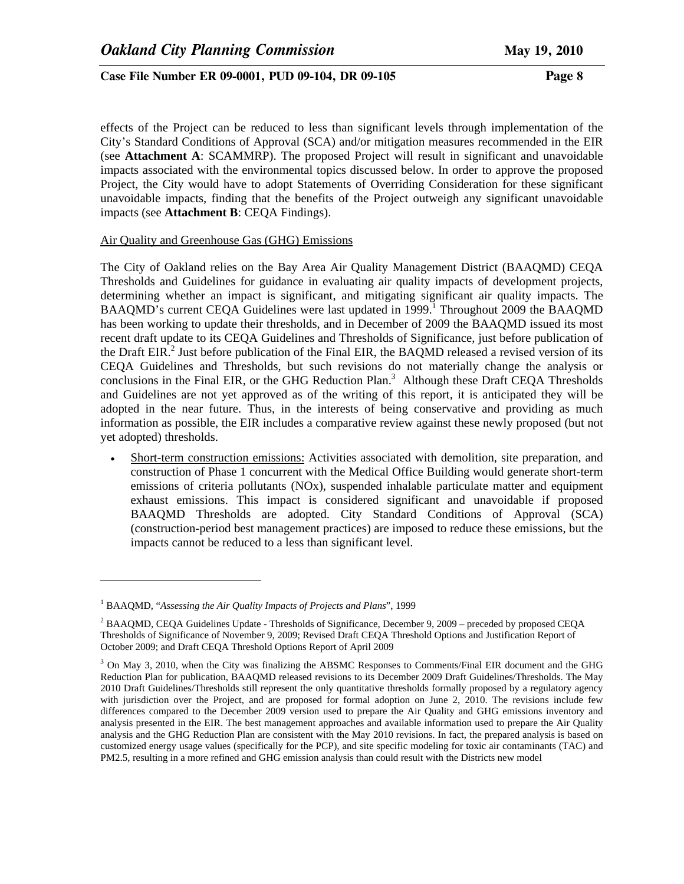effects of the Project can be reduced to less than significant levels through implementation of the City's Standard Conditions of Approval (SCA) and/or mitigation measures recommended in the EIR (see **Attachment A**: SCAMMRP). The proposed Project will result in significant and unavoidable impacts associated with the environmental topics discussed below. In order to approve the proposed Project, the City would have to adopt Statements of Overriding Consideration for these significant unavoidable impacts, finding that the benefits of the Project outweigh any significant unavoidable impacts (see **Attachment B**: CEQA Findings).

#### Air Quality and Greenhouse Gas (GHG) Emissions

The City of Oakland relies on the Bay Area Air Quality Management District (BAAQMD) CEQA Thresholds and Guidelines for guidance in evaluating air quality impacts of development projects, determining whether an impact is significant, and mitigating significant air quality impacts. The BAAQMD's current CEQA Guidelines were last updated in 1999.<sup>1</sup> Throughout 2009 the BAAQMD has been working to update their thresholds, and in December of 2009 the BAAQMD issued its most recent draft update to its CEQA Guidelines and Thresholds of Significance, just before publication of the Draft EIR.<sup>2</sup> Just before publication of the Final EIR, the BAQMD released a revised version of its CEQA Guidelines and Thresholds, but such revisions do not materially change the analysis or conclusions in the Final EIR, or the GHG Reduction Plan.<sup>3</sup> Although these Draft CEQA Thresholds and Guidelines are not yet approved as of the writing of this report, it is anticipated they will be adopted in the near future. Thus, in the interests of being conservative and providing as much information as possible, the EIR includes a comparative review against these newly proposed (but not yet adopted) thresholds.

• Short-term construction emissions: Activities associated with demolition, site preparation, and construction of Phase 1 concurrent with the Medical Office Building would generate short-term emissions of criteria pollutants (NOx), suspended inhalable particulate matter and equipment exhaust emissions. This impact is considered significant and unavoidable if proposed BAAQMD Thresholds are adopted. City Standard Conditions of Approval (SCA) (construction-period best management practices) are imposed to reduce these emissions, but the impacts cannot be reduced to a less than significant level.

 $\overline{\phantom{a}}$ 

<sup>&</sup>lt;sup>1</sup> BAAQMD, "Assessing the Air Quality Impacts of Projects and Plans", 1999

<sup>&</sup>lt;sup>2</sup> BAAQMD, CEQA Guidelines Update - Thresholds of Significance, December 9, 2009 – preceded by proposed CEQA Thresholds of Significance of November 9, 2009; Revised Draft CEQA Threshold Options and Justification Report of October 2009; and Draft CEQA Threshold Options Report of April 2009

<sup>&</sup>lt;sup>3</sup> On May 3, 2010, when the City was finalizing the ABSMC Responses to Comments/Final EIR document and the GHG Reduction Plan for publication, BAAQMD released revisions to its December 2009 Draft Guidelines/Thresholds. The May 2010 Draft Guidelines/Thresholds still represent the only quantitative thresholds formally proposed by a regulatory agency with jurisdiction over the Project, and are proposed for formal adoption on June 2, 2010. The revisions include few differences compared to the December 2009 version used to prepare the Air Quality and GHG emissions inventory and analysis presented in the EIR. The best management approaches and available information used to prepare the Air Quality analysis and the GHG Reduction Plan are consistent with the May 2010 revisions. In fact, the prepared analysis is based on customized energy usage values (specifically for the PCP), and site specific modeling for toxic air contaminants (TAC) and PM2.5, resulting in a more refined and GHG emission analysis than could result with the Districts new model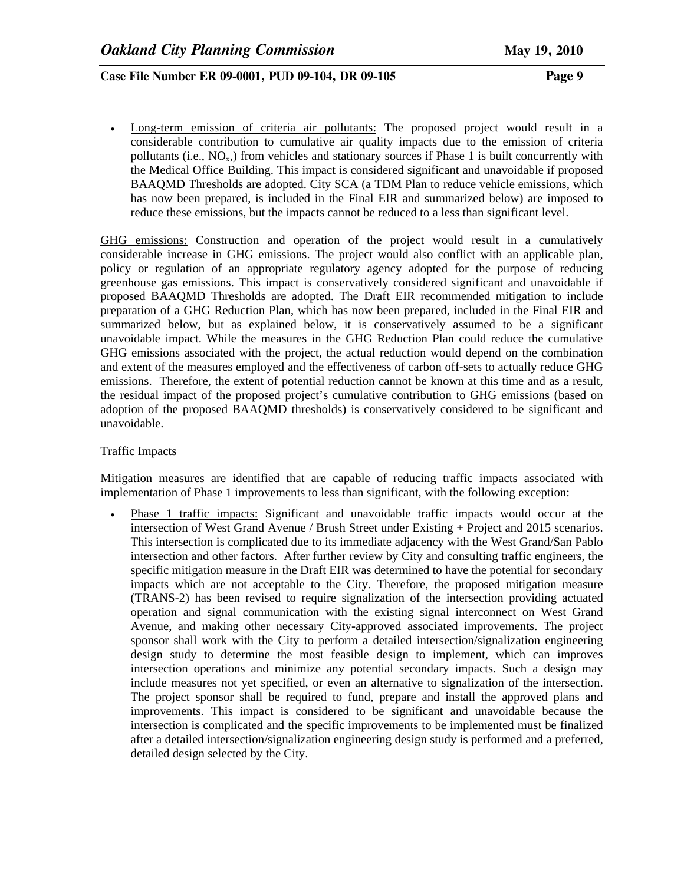• Long-term emission of criteria air pollutants: The proposed project would result in a considerable contribution to cumulative air quality impacts due to the emission of criteria pollutants (i.e.,  $NO_x$ ) from vehicles and stationary sources if Phase 1 is built concurrently with the Medical Office Building. This impact is considered significant and unavoidable if proposed BAAQMD Thresholds are adopted. City SCA (a TDM Plan to reduce vehicle emissions, which has now been prepared, is included in the Final EIR and summarized below) are imposed to reduce these emissions, but the impacts cannot be reduced to a less than significant level.

GHG emissions: Construction and operation of the project would result in a cumulatively considerable increase in GHG emissions. The project would also conflict with an applicable plan, policy or regulation of an appropriate regulatory agency adopted for the purpose of reducing greenhouse gas emissions. This impact is conservatively considered significant and unavoidable if proposed BAAQMD Thresholds are adopted. The Draft EIR recommended mitigation to include preparation of a GHG Reduction Plan, which has now been prepared, included in the Final EIR and summarized below, but as explained below, it is conservatively assumed to be a significant unavoidable impact. While the measures in the GHG Reduction Plan could reduce the cumulative GHG emissions associated with the project, the actual reduction would depend on the combination and extent of the measures employed and the effectiveness of carbon off-sets to actually reduce GHG emissions. Therefore, the extent of potential reduction cannot be known at this time and as a result, the residual impact of the proposed project's cumulative contribution to GHG emissions (based on adoption of the proposed BAAQMD thresholds) is conservatively considered to be significant and unavoidable.

#### Traffic Impacts

Mitigation measures are identified that are capable of reducing traffic impacts associated with implementation of Phase 1 improvements to less than significant, with the following exception:

• Phase 1 traffic impacts: Significant and unavoidable traffic impacts would occur at the intersection of West Grand Avenue / Brush Street under Existing + Project and 2015 scenarios. This intersection is complicated due to its immediate adjacency with the West Grand/San Pablo intersection and other factors. After further review by City and consulting traffic engineers, the specific mitigation measure in the Draft EIR was determined to have the potential for secondary impacts which are not acceptable to the City. Therefore, the proposed mitigation measure (TRANS-2) has been revised to require signalization of the intersection providing actuated operation and signal communication with the existing signal interconnect on West Grand Avenue, and making other necessary City-approved associated improvements. The project sponsor shall work with the City to perform a detailed intersection/signalization engineering design study to determine the most feasible design to implement, which can improves intersection operations and minimize any potential secondary impacts. Such a design may include measures not yet specified, or even an alternative to signalization of the intersection. The project sponsor shall be required to fund, prepare and install the approved plans and improvements. This impact is considered to be significant and unavoidable because the intersection is complicated and the specific improvements to be implemented must be finalized after a detailed intersection/signalization engineering design study is performed and a preferred, detailed design selected by the City.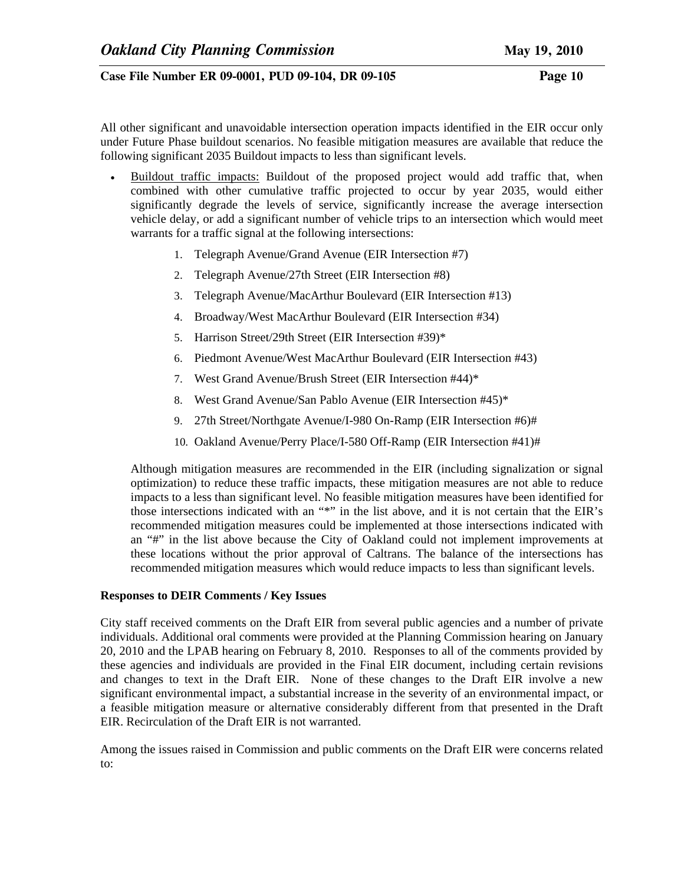All other significant and unavoidable intersection operation impacts identified in the EIR occur only under Future Phase buildout scenarios. No feasible mitigation measures are available that reduce the following significant 2035 Buildout impacts to less than significant levels.

- Buildout traffic impacts: Buildout of the proposed project would add traffic that, when combined with other cumulative traffic projected to occur by year 2035, would either significantly degrade the levels of service, significantly increase the average intersection vehicle delay, or add a significant number of vehicle trips to an intersection which would meet warrants for a traffic signal at the following intersections:
	- 1. Telegraph Avenue/Grand Avenue (EIR Intersection #7)
	- 2. Telegraph Avenue/27th Street (EIR Intersection #8)
	- 3. Telegraph Avenue/MacArthur Boulevard (EIR Intersection #13)
	- 4. Broadway/West MacArthur Boulevard (EIR Intersection #34)
	- 5. Harrison Street/29th Street (EIR Intersection #39)\*
	- 6. Piedmont Avenue/West MacArthur Boulevard (EIR Intersection #43)
	- 7. West Grand Avenue/Brush Street (EIR Intersection #44)\*
	- 8. West Grand Avenue/San Pablo Avenue (EIR Intersection #45)\*
	- 9. 27th Street/Northgate Avenue/I-980 On-Ramp (EIR Intersection #6)#
	- 10. Oakland Avenue/Perry Place/I-580 Off-Ramp (EIR Intersection #41)#

Although mitigation measures are recommended in the EIR (including signalization or signal optimization) to reduce these traffic impacts, these mitigation measures are not able to reduce impacts to a less than significant level. No feasible mitigation measures have been identified for those intersections indicated with an "\*" in the list above, and it is not certain that the EIR's recommended mitigation measures could be implemented at those intersections indicated with an "#" in the list above because the City of Oakland could not implement improvements at these locations without the prior approval of Caltrans. The balance of the intersections has recommended mitigation measures which would reduce impacts to less than significant levels.

## **Responses to DEIR Comments / Key Issues**

City staff received comments on the Draft EIR from several public agencies and a number of private individuals. Additional oral comments were provided at the Planning Commission hearing on January 20, 2010 and the LPAB hearing on February 8, 2010. Responses to all of the comments provided by these agencies and individuals are provided in the Final EIR document, including certain revisions and changes to text in the Draft EIR. None of these changes to the Draft EIR involve a new significant environmental impact, a substantial increase in the severity of an environmental impact, or a feasible mitigation measure or alternative considerably different from that presented in the Draft EIR. Recirculation of the Draft EIR is not warranted.

Among the issues raised in Commission and public comments on the Draft EIR were concerns related to: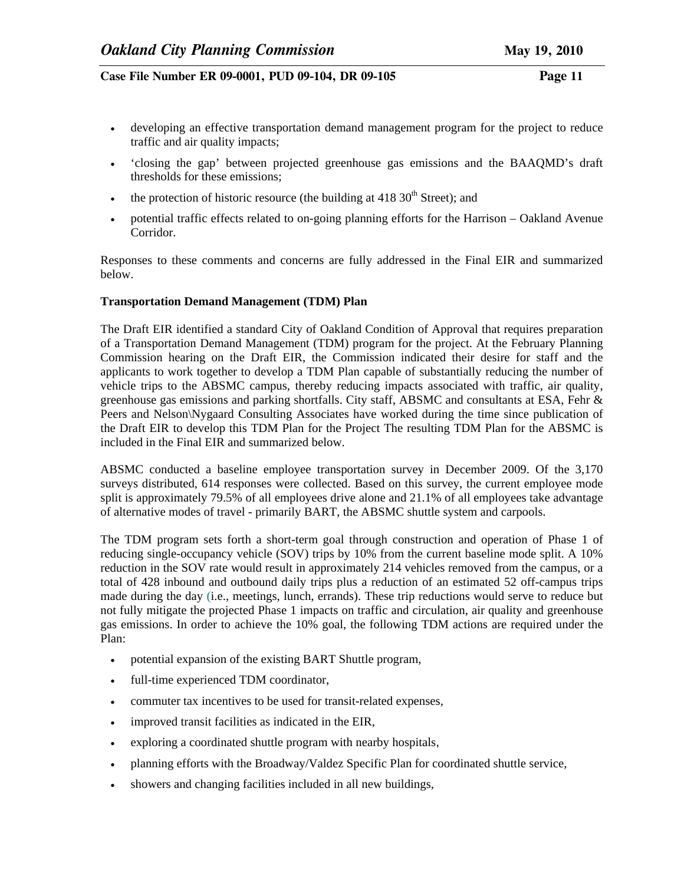- developing an effective transportation demand management program for the project to reduce traffic and air quality impacts;
- 'closing the gap' between projected greenhouse gas emissions and the BAAQMD's draft thresholds for these emissions;
- the protection of historic resource (the building at  $418\,30^{th}$  Street); and
- potential traffic effects related to on-going planning efforts for the Harrison Oakland Avenue Corridor.

Responses to these comments and concerns are fully addressed in the Final EIR and summarized below.

## **Transportation Demand Management (TDM) Plan**

The Draft EIR identified a standard City of Oakland Condition of Approval that requires preparation of a Transportation Demand Management (TDM) program for the project. At the February Planning Commission hearing on the Draft EIR, the Commission indicated their desire for staff and the applicants to work together to develop a TDM Plan capable of substantially reducing the number of vehicle trips to the ABSMC campus, thereby reducing impacts associated with traffic, air quality, greenhouse gas emissions and parking shortfalls. City staff, ABSMC and consultants at ESA, Fehr & Peers and Nelson\Nygaard Consulting Associates have worked during the time since publication of the Draft EIR to develop this TDM Plan for the Project The resulting TDM Plan for the ABSMC is included in the Final EIR and summarized below.

ABSMC conducted a baseline employee transportation survey in December 2009. Of the 3,170 surveys distributed, 614 responses were collected. Based on this survey, the current employee mode split is approximately 79.5% of all employees drive alone and 21.1% of all employees take advantage of alternative modes of travel - primarily BART, the ABSMC shuttle system and carpools.

The TDM program sets forth a short-term goal through construction and operation of Phase 1 of reducing single-occupancy vehicle (SOV) trips by 10% from the current baseline mode split. A 10% reduction in the SOV rate would result in approximately 214 vehicles removed from the campus, or a total of 428 inbound and outbound daily trips plus a reduction of an estimated 52 off-campus trips made during the day (i.e., meetings, lunch, errands). These trip reductions would serve to reduce but not fully mitigate the projected Phase 1 impacts on traffic and circulation, air quality and greenhouse gas emissions. In order to achieve the 10% goal, the following TDM actions are required under the Plan:

- potential expansion of the existing BART Shuttle program,
- full-time experienced TDM coordinator,
- commuter tax incentives to be used for transit-related expenses,
- improved transit facilities as indicated in the EIR,
- exploring a coordinated shuttle program with nearby hospitals,
- planning efforts with the Broadway/Valdez Specific Plan for coordinated shuttle service,
- showers and changing facilities included in all new buildings,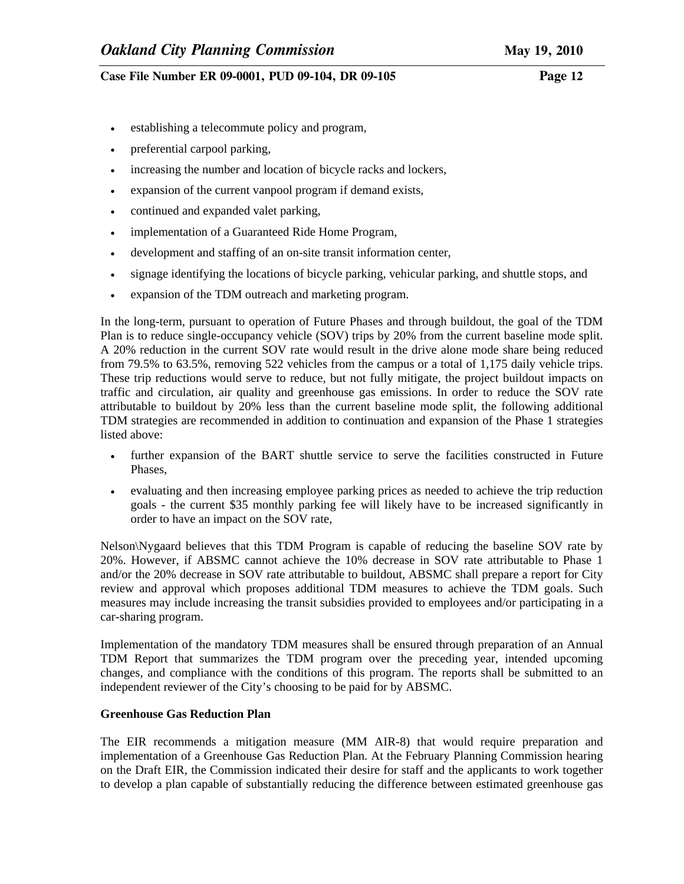- establishing a telecommute policy and program,
- preferential carpool parking,
- increasing the number and location of bicycle racks and lockers,
- expansion of the current vanpool program if demand exists,
- continued and expanded valet parking,
- implementation of a Guaranteed Ride Home Program,
- development and staffing of an on-site transit information center,
- signage identifying the locations of bicycle parking, vehicular parking, and shuttle stops, and
- expansion of the TDM outreach and marketing program.

In the long-term, pursuant to operation of Future Phases and through buildout, the goal of the TDM Plan is to reduce single-occupancy vehicle (SOV) trips by 20% from the current baseline mode split. A 20% reduction in the current SOV rate would result in the drive alone mode share being reduced from 79.5% to 63.5%, removing 522 vehicles from the campus or a total of 1,175 daily vehicle trips. These trip reductions would serve to reduce, but not fully mitigate, the project buildout impacts on traffic and circulation, air quality and greenhouse gas emissions. In order to reduce the SOV rate attributable to buildout by 20% less than the current baseline mode split, the following additional TDM strategies are recommended in addition to continuation and expansion of the Phase 1 strategies listed above:

- further expansion of the BART shuttle service to serve the facilities constructed in Future Phases,
- evaluating and then increasing employee parking prices as needed to achieve the trip reduction goals - the current \$35 monthly parking fee will likely have to be increased significantly in order to have an impact on the SOV rate,

Nelson\Nygaard believes that this TDM Program is capable of reducing the baseline SOV rate by 20%. However, if ABSMC cannot achieve the 10% decrease in SOV rate attributable to Phase 1 and/or the 20% decrease in SOV rate attributable to buildout, ABSMC shall prepare a report for City review and approval which proposes additional TDM measures to achieve the TDM goals. Such measures may include increasing the transit subsidies provided to employees and/or participating in a car-sharing program.

Implementation of the mandatory TDM measures shall be ensured through preparation of an Annual TDM Report that summarizes the TDM program over the preceding year, intended upcoming changes, and compliance with the conditions of this program. The reports shall be submitted to an independent reviewer of the City's choosing to be paid for by ABSMC.

## **Greenhouse Gas Reduction Plan**

The EIR recommends a mitigation measure (MM AIR-8) that would require preparation and implementation of a Greenhouse Gas Reduction Plan. At the February Planning Commission hearing on the Draft EIR, the Commission indicated their desire for staff and the applicants to work together to develop a plan capable of substantially reducing the difference between estimated greenhouse gas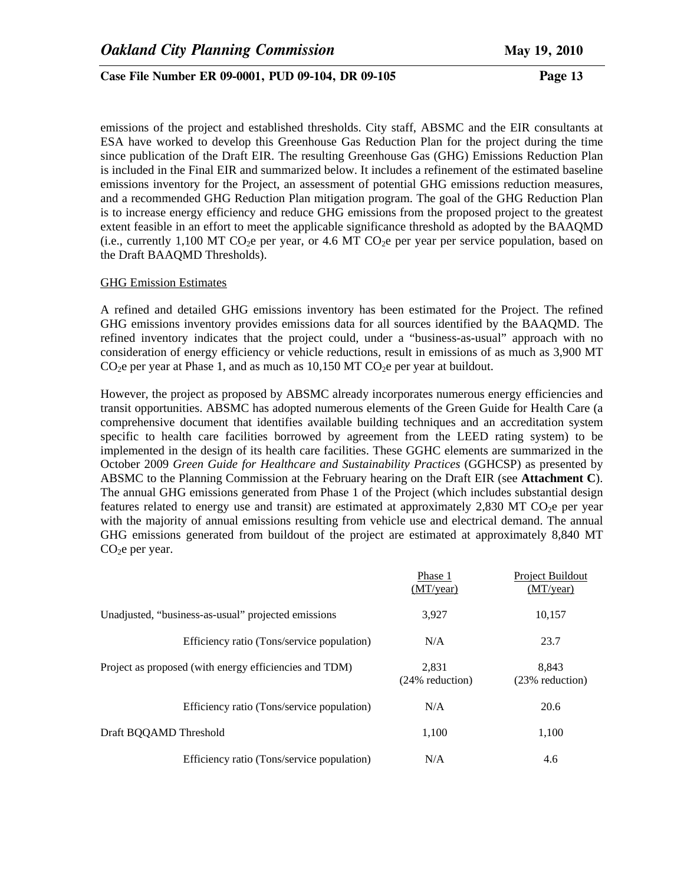emissions of the project and established thresholds. City staff, ABSMC and the EIR consultants at ESA have worked to develop this Greenhouse Gas Reduction Plan for the project during the time since publication of the Draft EIR. The resulting Greenhouse Gas (GHG) Emissions Reduction Plan is included in the Final EIR and summarized below. It includes a refinement of the estimated baseline emissions inventory for the Project, an assessment of potential GHG emissions reduction measures, and a recommended GHG Reduction Plan mitigation program. The goal of the GHG Reduction Plan is to increase energy efficiency and reduce GHG emissions from the proposed project to the greatest extent feasible in an effort to meet the applicable significance threshold as adopted by the BAAQMD (i.e., currently 1,100 MT CO<sub>2</sub>e per year, or 4.6 MT CO<sub>2</sub>e per year per service population, based on the Draft BAAQMD Thresholds).

#### GHG Emission Estimates

A refined and detailed GHG emissions inventory has been estimated for the Project. The refined GHG emissions inventory provides emissions data for all sources identified by the BAAQMD. The refined inventory indicates that the project could, under a "business-as-usual" approach with no consideration of energy efficiency or vehicle reductions, result in emissions of as much as 3,900 MT  $CO<sub>2</sub>e$  per year at Phase 1, and as much as 10,150 MT  $CO<sub>2</sub>e$  per year at buildout.

However, the project as proposed by ABSMC already incorporates numerous energy efficiencies and transit opportunities. ABSMC has adopted numerous elements of the Green Guide for Health Care (a comprehensive document that identifies available building techniques and an accreditation system specific to health care facilities borrowed by agreement from the LEED rating system) to be implemented in the design of its health care facilities. These GGHC elements are summarized in the October 2009 *Green Guide for Healthcare and Sustainability Practices* (GGHCSP) as presented by ABSMC to the Planning Commission at the February hearing on the Draft EIR (see **Attachment C**). The annual GHG emissions generated from Phase 1 of the Project (which includes substantial design features related to energy use and transit) are estimated at approximately 2,830 MT CO<sub>2</sub>e per year with the majority of annual emissions resulting from vehicle use and electrical demand. The annual GHG emissions generated from buildout of the project are estimated at approximately 8,840 MT  $CO<sub>2</sub>e$  per year.

|                                                        | Phase 1<br>(MT/year)     | Project Buildout<br>(MT/year) |
|--------------------------------------------------------|--------------------------|-------------------------------|
| Unadjusted, "business-as-usual" projected emissions    | 3.927                    | 10,157                        |
| Efficiency ratio (Tons/service population)             | N/A                      | 23.7                          |
| Project as proposed (with energy efficiencies and TDM) | 2.831<br>(24% reduction) | 8.843<br>(23% reduction)      |
| Efficiency ratio (Tons/service population)             | N/A                      | 20.6                          |
| Draft BQQAMD Threshold                                 | 1.100                    | 1.100                         |
| Efficiency ratio (Tons/service population)             | N/A                      | 4.6                           |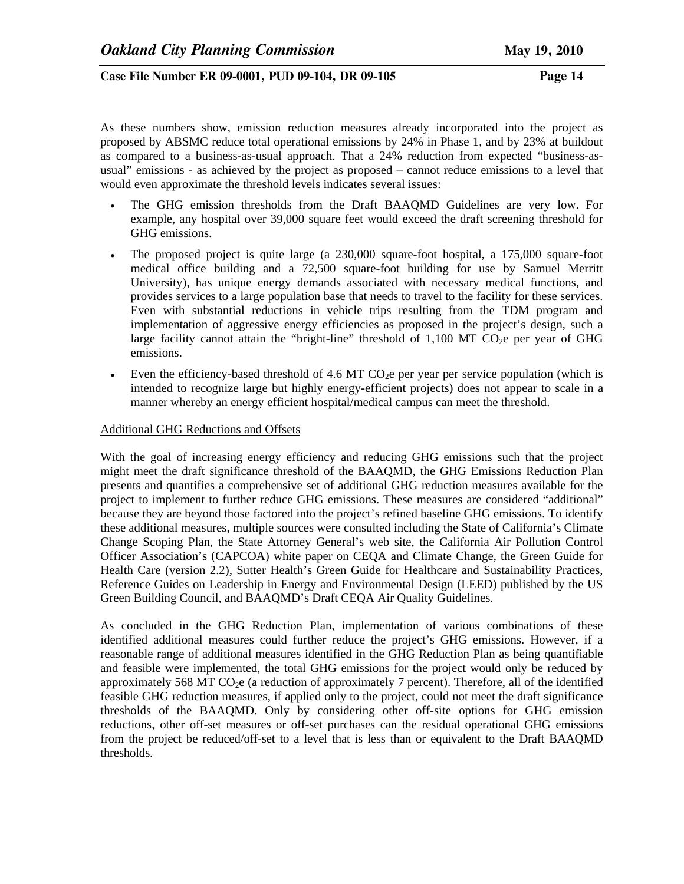As these numbers show, emission reduction measures already incorporated into the project as proposed by ABSMC reduce total operational emissions by 24% in Phase 1, and by 23% at buildout as compared to a business-as-usual approach. That a 24% reduction from expected "business-asusual" emissions - as achieved by the project as proposed – cannot reduce emissions to a level that would even approximate the threshold levels indicates several issues:

- The GHG emission thresholds from the Draft BAAQMD Guidelines are very low. For example, any hospital over 39,000 square feet would exceed the draft screening threshold for GHG emissions.
- The proposed project is quite large (a 230,000 square-foot hospital, a 175,000 square-foot medical office building and a 72,500 square-foot building for use by Samuel Merritt University), has unique energy demands associated with necessary medical functions, and provides services to a large population base that needs to travel to the facility for these services. Even with substantial reductions in vehicle trips resulting from the TDM program and implementation of aggressive energy efficiencies as proposed in the project's design, such a large facility cannot attain the "bright-line" threshold of  $1,100$  MT CO<sub>2</sub>e per year of GHG emissions.
- Even the efficiency-based threshold of 4.6 MT  $CO<sub>2</sub>e$  per year per service population (which is intended to recognize large but highly energy-efficient projects) does not appear to scale in a manner whereby an energy efficient hospital/medical campus can meet the threshold.

#### Additional GHG Reductions and Offsets

With the goal of increasing energy efficiency and reducing GHG emissions such that the project might meet the draft significance threshold of the BAAQMD, the GHG Emissions Reduction Plan presents and quantifies a comprehensive set of additional GHG reduction measures available for the project to implement to further reduce GHG emissions. These measures are considered "additional" because they are beyond those factored into the project's refined baseline GHG emissions. To identify these additional measures, multiple sources were consulted including the State of California's Climate Change Scoping Plan, the State Attorney General's web site, the California Air Pollution Control Officer Association's (CAPCOA) white paper on CEQA and Climate Change, the Green Guide for Health Care (version 2.2), Sutter Health's Green Guide for Healthcare and Sustainability Practices, Reference Guides on Leadership in Energy and Environmental Design (LEED) published by the US Green Building Council, and BAAQMD's Draft CEQA Air Quality Guidelines.

As concluded in the GHG Reduction Plan, implementation of various combinations of these identified additional measures could further reduce the project's GHG emissions. However, if a reasonable range of additional measures identified in the GHG Reduction Plan as being quantifiable and feasible were implemented, the total GHG emissions for the project would only be reduced by approximately 568 MT  $CO<sub>2</sub>e$  (a reduction of approximately 7 percent). Therefore, all of the identified feasible GHG reduction measures, if applied only to the project, could not meet the draft significance thresholds of the BAAQMD. Only by considering other off-site options for GHG emission reductions, other off-set measures or off-set purchases can the residual operational GHG emissions from the project be reduced/off-set to a level that is less than or equivalent to the Draft BAAQMD thresholds.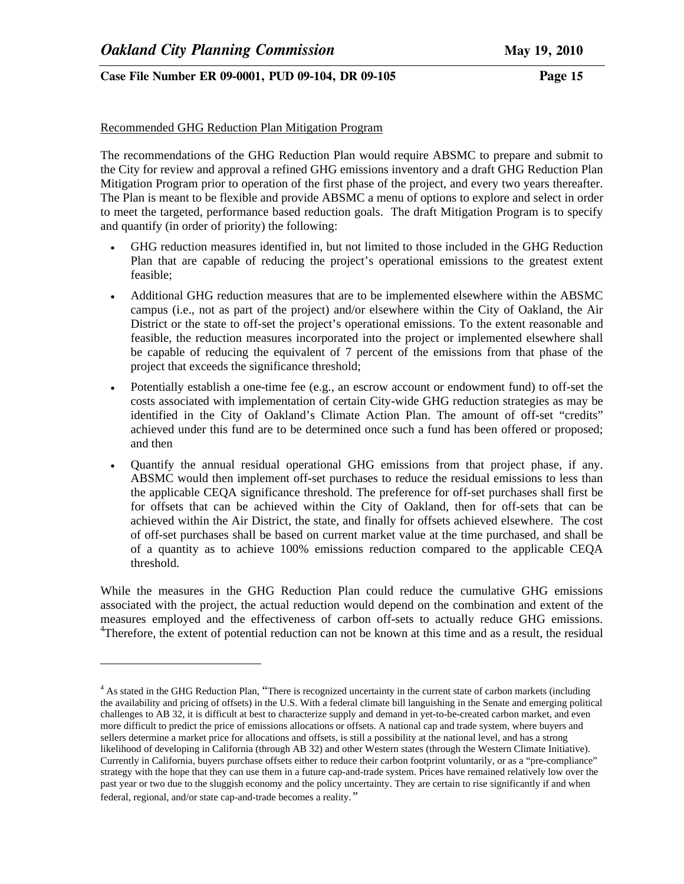l

## **Case File Number ER 09-0001, PUD 09-104, DR 09-105 Page 15**

#### Recommended GHG Reduction Plan Mitigation Program

The recommendations of the GHG Reduction Plan would require ABSMC to prepare and submit to the City for review and approval a refined GHG emissions inventory and a draft GHG Reduction Plan Mitigation Program prior to operation of the first phase of the project, and every two years thereafter. The Plan is meant to be flexible and provide ABSMC a menu of options to explore and select in order to meet the targeted, performance based reduction goals. The draft Mitigation Program is to specify and quantify (in order of priority) the following:

- GHG reduction measures identified in, but not limited to those included in the GHG Reduction Plan that are capable of reducing the project's operational emissions to the greatest extent feasible;
- Additional GHG reduction measures that are to be implemented elsewhere within the ABSMC campus (i.e., not as part of the project) and/or elsewhere within the City of Oakland, the Air District or the state to off-set the project's operational emissions. To the extent reasonable and feasible, the reduction measures incorporated into the project or implemented elsewhere shall be capable of reducing the equivalent of 7 percent of the emissions from that phase of the project that exceeds the significance threshold;
- Potentially establish a one-time fee (e.g., an escrow account or endowment fund) to off-set the costs associated with implementation of certain City-wide GHG reduction strategies as may be identified in the City of Oakland's Climate Action Plan. The amount of off-set "credits" achieved under this fund are to be determined once such a fund has been offered or proposed; and then
- Quantify the annual residual operational GHG emissions from that project phase, if any. ABSMC would then implement off-set purchases to reduce the residual emissions to less than the applicable CEQA significance threshold. The preference for off-set purchases shall first be for offsets that can be achieved within the City of Oakland, then for off-sets that can be achieved within the Air District, the state, and finally for offsets achieved elsewhere. The cost of off-set purchases shall be based on current market value at the time purchased, and shall be of a quantity as to achieve 100% emissions reduction compared to the applicable CEQA threshold.

While the measures in the GHG Reduction Plan could reduce the cumulative GHG emissions associated with the project, the actual reduction would depend on the combination and extent of the measures employed and the effectiveness of carbon off-sets to actually reduce GHG emissions. <sup>4</sup>Therefore, the extent of potential reduction can not be known at this time and as a result, the residual

<sup>&</sup>lt;sup>4</sup> As stated in the GHG Reduction Plan, "There is recognized uncertainty in the current state of carbon markets (including the availability and pricing of offsets) in the U.S. With a federal climate bill languishing in the Senate and emerging political challenges to AB 32, it is difficult at best to characterize supply and demand in yet-to-be-created carbon market, and even more difficult to predict the price of emissions allocations or offsets. A national cap and trade system, where buyers and sellers determine a market price for allocations and offsets, is still a possibility at the national level, and has a strong likelihood of developing in California (through AB 32) and other Western states (through the Western Climate Initiative). Currently in California, buyers purchase offsets either to reduce their carbon footprint voluntarily, or as a "pre-compliance" strategy with the hope that they can use them in a future cap-and-trade system. Prices have remained relatively low over the past year or two due to the sluggish economy and the policy uncertainty. They are certain to rise significantly if and when federal, regional, and/or state cap-and-trade becomes a reality.*"*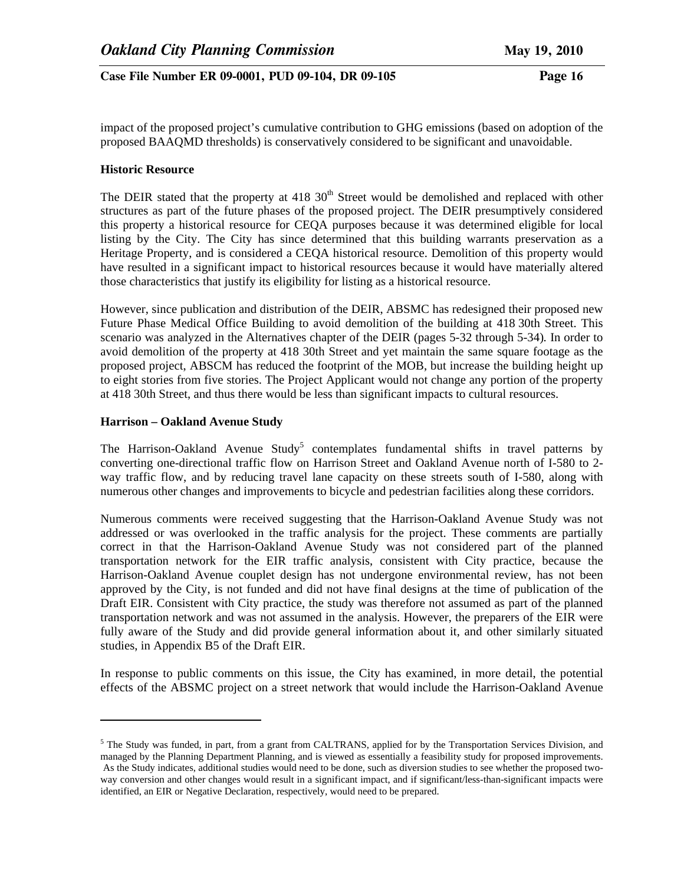impact of the proposed project's cumulative contribution to GHG emissions (based on adoption of the proposed BAAQMD thresholds) is conservatively considered to be significant and unavoidable.

## **Historic Resource**

The DEIR stated that the property at 418  $30<sup>th</sup>$  Street would be demolished and replaced with other structures as part of the future phases of the proposed project. The DEIR presumptively considered this property a historical resource for CEQA purposes because it was determined eligible for local listing by the City. The City has since determined that this building warrants preservation as a Heritage Property, and is considered a CEQA historical resource. Demolition of this property would have resulted in a significant impact to historical resources because it would have materially altered those characteristics that justify its eligibility for listing as a historical resource.

However, since publication and distribution of the DEIR, ABSMC has redesigned their proposed new Future Phase Medical Office Building to avoid demolition of the building at 418 30th Street. This scenario was analyzed in the Alternatives chapter of the DEIR (pages 5-32 through 5-34)*.* In order to avoid demolition of the property at 418 30th Street and yet maintain the same square footage as the proposed project, ABSCM has reduced the footprint of the MOB, but increase the building height up to eight stories from five stories. The Project Applicant would not change any portion of the property at 418 30th Street, and thus there would be less than significant impacts to cultural resources.

#### **Harrison – Oakland Avenue Study**

 $\overline{\phantom{a}}$ 

The Harrison-Oakland Avenue  $Study^5$  contemplates fundamental shifts in travel patterns by converting one-directional traffic flow on Harrison Street and Oakland Avenue north of I-580 to 2 way traffic flow, and by reducing travel lane capacity on these streets south of I-580, along with numerous other changes and improvements to bicycle and pedestrian facilities along these corridors.

Numerous comments were received suggesting that the Harrison-Oakland Avenue Study was not addressed or was overlooked in the traffic analysis for the project. These comments are partially correct in that the Harrison-Oakland Avenue Study was not considered part of the planned transportation network for the EIR traffic analysis, consistent with City practice, because the Harrison-Oakland Avenue couplet design has not undergone environmental review, has not been approved by the City, is not funded and did not have final designs at the time of publication of the Draft EIR. Consistent with City practice, the study was therefore not assumed as part of the planned transportation network and was not assumed in the analysis. However, the preparers of the EIR were fully aware of the Study and did provide general information about it, and other similarly situated studies, in Appendix B5 of the Draft EIR.

In response to public comments on this issue, the City has examined, in more detail, the potential effects of the ABSMC project on a street network that would include the Harrison-Oakland Avenue

 $<sup>5</sup>$  The Study was funded, in part, from a grant from CALTRANS, applied for by the Transportation Services Division, and</sup> managed by the Planning Department Planning, and is viewed as essentially a feasibility study for proposed improvements. As the Study indicates, additional studies would need to be done, such as diversion studies to see whether the proposed twoway conversion and other changes would result in a significant impact, and if significant/less-than-significant impacts were identified, an EIR or Negative Declaration, respectively, would need to be prepared.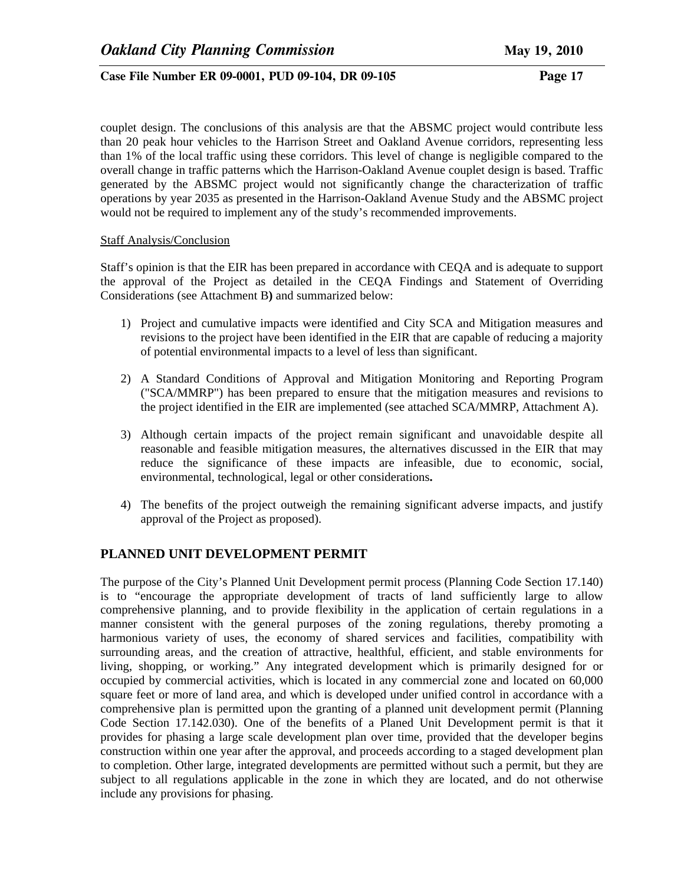couplet design. The conclusions of this analysis are that the ABSMC project would contribute less than 20 peak hour vehicles to the Harrison Street and Oakland Avenue corridors, representing less than 1% of the local traffic using these corridors. This level of change is negligible compared to the overall change in traffic patterns which the Harrison-Oakland Avenue couplet design is based. Traffic generated by the ABSMC project would not significantly change the characterization of traffic operations by year 2035 as presented in the Harrison-Oakland Avenue Study and the ABSMC project would not be required to implement any of the study's recommended improvements.

#### Staff Analysis/Conclusion

Staff's opinion is that the EIR has been prepared in accordance with CEQA and is adequate to support the approval of the Project as detailed in the CEQA Findings and Statement of Overriding Considerations (see Attachment B**)** and summarized below:

- 1) Project and cumulative impacts were identified and City SCA and Mitigation measures and revisions to the project have been identified in the EIR that are capable of reducing a majority of potential environmental impacts to a level of less than significant.
- 2) A Standard Conditions of Approval and Mitigation Monitoring and Reporting Program ("SCA/MMRP") has been prepared to ensure that the mitigation measures and revisions to the project identified in the EIR are implemented (see attached SCA/MMRP, Attachment A).
- 3) Although certain impacts of the project remain significant and unavoidable despite all reasonable and feasible mitigation measures, the alternatives discussed in the EIR that may reduce the significance of these impacts are infeasible, due to economic, social, environmental, technological, legal or other considerations**.**
- 4) The benefits of the project outweigh the remaining significant adverse impacts, and justify approval of the Project as proposed).

# **PLANNED UNIT DEVELOPMENT PERMIT**

The purpose of the City's Planned Unit Development permit process (Planning Code Section 17.140) is to "encourage the appropriate development of tracts of land sufficiently large to allow comprehensive planning, and to provide flexibility in the application of certain regulations in a manner consistent with the general purposes of the zoning regulations, thereby promoting a harmonious variety of uses, the economy of shared services and facilities, compatibility with surrounding areas, and the creation of attractive, healthful, efficient, and stable environments for living, shopping, or working." Any integrated development which is primarily designed for or occupied by commercial activities, which is located in any commercial zone and located on 60,000 square feet or more of land area, and which is developed under unified control in accordance with a comprehensive plan is permitted upon the granting of a planned unit development permit (Planning Code Section 17.142.030). One of the benefits of a Planed Unit Development permit is that it provides for phasing a large scale development plan over time, provided that the developer begins construction within one year after the approval, and proceeds according to a staged development plan to completion. Other large, integrated developments are permitted without such a permit, but they are subject to all regulations applicable in the zone in which they are located, and do not otherwise include any provisions for phasing.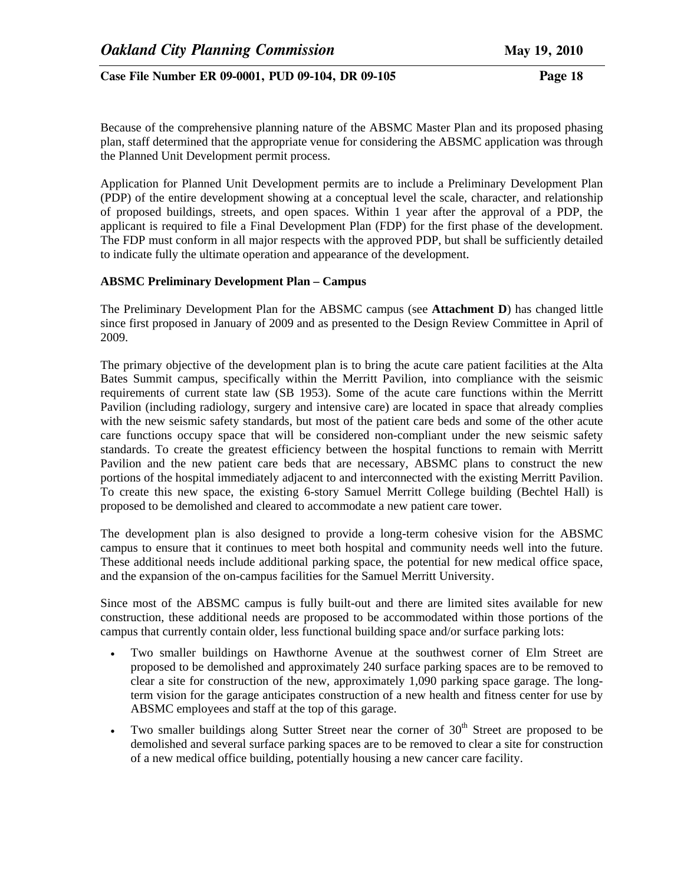Because of the comprehensive planning nature of the ABSMC Master Plan and its proposed phasing plan, staff determined that the appropriate venue for considering the ABSMC application was through the Planned Unit Development permit process.

Application for Planned Unit Development permits are to include a Preliminary Development Plan (PDP) of the entire development showing at a conceptual level the scale, character, and relationship of proposed buildings, streets, and open spaces. Within 1 year after the approval of a PDP, the applicant is required to file a Final Development Plan (FDP) for the first phase of the development. The FDP must conform in all major respects with the approved PDP, but shall be sufficiently detailed to indicate fully the ultimate operation and appearance of the development.

# **ABSMC Preliminary Development Plan – Campus**

The Preliminary Development Plan for the ABSMC campus (see **Attachment D**) has changed little since first proposed in January of 2009 and as presented to the Design Review Committee in April of 2009.

The primary objective of the development plan is to bring the acute care patient facilities at the Alta Bates Summit campus, specifically within the Merritt Pavilion, into compliance with the seismic requirements of current state law (SB 1953). Some of the acute care functions within the Merritt Pavilion (including radiology, surgery and intensive care) are located in space that already complies with the new seismic safety standards, but most of the patient care beds and some of the other acute care functions occupy space that will be considered non-compliant under the new seismic safety standards. To create the greatest efficiency between the hospital functions to remain with Merritt Pavilion and the new patient care beds that are necessary, ABSMC plans to construct the new portions of the hospital immediately adjacent to and interconnected with the existing Merritt Pavilion. To create this new space, the existing 6-story Samuel Merritt College building (Bechtel Hall) is proposed to be demolished and cleared to accommodate a new patient care tower.

The development plan is also designed to provide a long-term cohesive vision for the ABSMC campus to ensure that it continues to meet both hospital and community needs well into the future. These additional needs include additional parking space, the potential for new medical office space, and the expansion of the on-campus facilities for the Samuel Merritt University.

Since most of the ABSMC campus is fully built-out and there are limited sites available for new construction, these additional needs are proposed to be accommodated within those portions of the campus that currently contain older, less functional building space and/or surface parking lots:

- Two smaller buildings on Hawthorne Avenue at the southwest corner of Elm Street are proposed to be demolished and approximately 240 surface parking spaces are to be removed to clear a site for construction of the new, approximately 1,090 parking space garage. The longterm vision for the garage anticipates construction of a new health and fitness center for use by ABSMC employees and staff at the top of this garage.
- Two smaller buildings along Sutter Street near the corner of  $30<sup>th</sup>$  Street are proposed to be demolished and several surface parking spaces are to be removed to clear a site for construction of a new medical office building, potentially housing a new cancer care facility.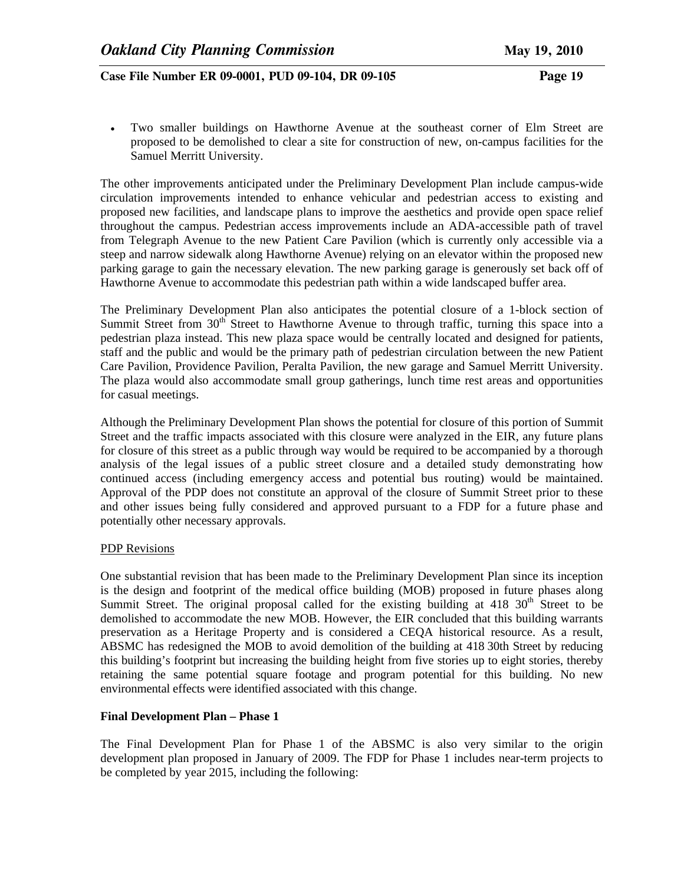• Two smaller buildings on Hawthorne Avenue at the southeast corner of Elm Street are proposed to be demolished to clear a site for construction of new, on-campus facilities for the Samuel Merritt University.

The other improvements anticipated under the Preliminary Development Plan include campus-wide circulation improvements intended to enhance vehicular and pedestrian access to existing and proposed new facilities, and landscape plans to improve the aesthetics and provide open space relief throughout the campus. Pedestrian access improvements include an ADA-accessible path of travel from Telegraph Avenue to the new Patient Care Pavilion (which is currently only accessible via a steep and narrow sidewalk along Hawthorne Avenue) relying on an elevator within the proposed new parking garage to gain the necessary elevation. The new parking garage is generously set back off of Hawthorne Avenue to accommodate this pedestrian path within a wide landscaped buffer area.

The Preliminary Development Plan also anticipates the potential closure of a 1-block section of Summit Street from  $30<sup>th</sup>$  Street to Hawthorne Avenue to through traffic, turning this space into a pedestrian plaza instead. This new plaza space would be centrally located and designed for patients, staff and the public and would be the primary path of pedestrian circulation between the new Patient Care Pavilion, Providence Pavilion, Peralta Pavilion, the new garage and Samuel Merritt University. The plaza would also accommodate small group gatherings, lunch time rest areas and opportunities for casual meetings.

Although the Preliminary Development Plan shows the potential for closure of this portion of Summit Street and the traffic impacts associated with this closure were analyzed in the EIR, any future plans for closure of this street as a public through way would be required to be accompanied by a thorough analysis of the legal issues of a public street closure and a detailed study demonstrating how continued access (including emergency access and potential bus routing) would be maintained. Approval of the PDP does not constitute an approval of the closure of Summit Street prior to these and other issues being fully considered and approved pursuant to a FDP for a future phase and potentially other necessary approvals.

#### PDP Revisions

One substantial revision that has been made to the Preliminary Development Plan since its inception is the design and footprint of the medical office building (MOB) proposed in future phases along Summit Street. The original proposal called for the existing building at  $418\,30^{th}$  Street to be demolished to accommodate the new MOB. However, the EIR concluded that this building warrants preservation as a Heritage Property and is considered a CEQA historical resource. As a result, ABSMC has redesigned the MOB to avoid demolition of the building at 418 30th Street by reducing this building's footprint but increasing the building height from five stories up to eight stories, thereby retaining the same potential square footage and program potential for this building. No new environmental effects were identified associated with this change.

## **Final Development Plan – Phase 1**

The Final Development Plan for Phase 1 of the ABSMC is also very similar to the origin development plan proposed in January of 2009. The FDP for Phase 1 includes near-term projects to be completed by year 2015, including the following: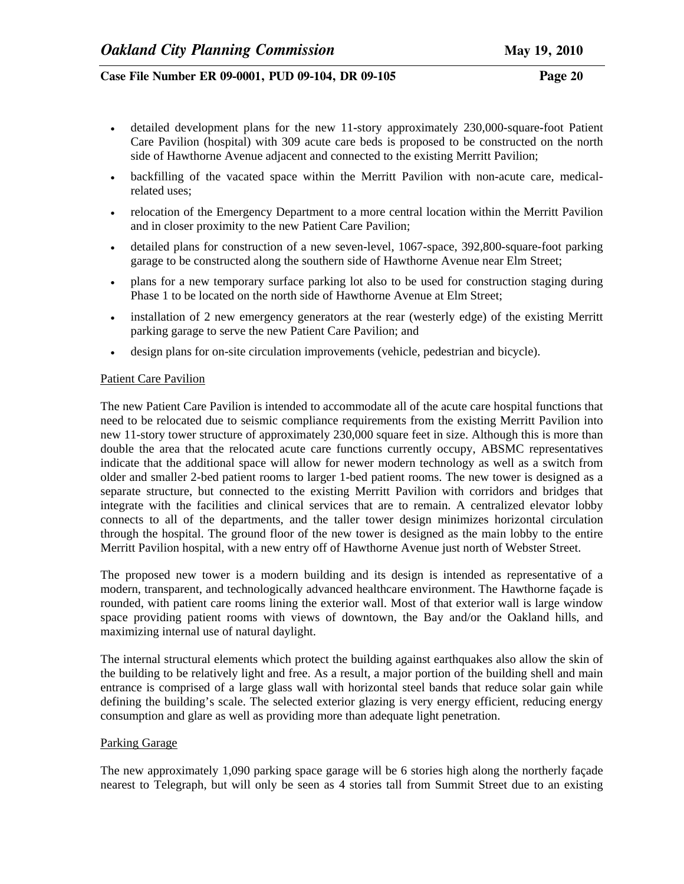- detailed development plans for the new 11-story approximately 230,000-square-foot Patient Care Pavilion (hospital) with 309 acute care beds is proposed to be constructed on the north side of Hawthorne Avenue adjacent and connected to the existing Merritt Pavilion;
- backfilling of the vacated space within the Merritt Pavilion with non-acute care, medicalrelated uses;
- relocation of the Emergency Department to a more central location within the Merritt Pavilion and in closer proximity to the new Patient Care Pavilion;
- detailed plans for construction of a new seven-level, 1067-space, 392,800-square-foot parking garage to be constructed along the southern side of Hawthorne Avenue near Elm Street;
- plans for a new temporary surface parking lot also to be used for construction staging during Phase 1 to be located on the north side of Hawthorne Avenue at Elm Street;
- installation of 2 new emergency generators at the rear (westerly edge) of the existing Merritt parking garage to serve the new Patient Care Pavilion; and
- design plans for on-site circulation improvements (vehicle, pedestrian and bicycle).

#### Patient Care Pavilion

The new Patient Care Pavilion is intended to accommodate all of the acute care hospital functions that need to be relocated due to seismic compliance requirements from the existing Merritt Pavilion into new 11-story tower structure of approximately 230,000 square feet in size. Although this is more than double the area that the relocated acute care functions currently occupy, ABSMC representatives indicate that the additional space will allow for newer modern technology as well as a switch from older and smaller 2-bed patient rooms to larger 1-bed patient rooms. The new tower is designed as a separate structure, but connected to the existing Merritt Pavilion with corridors and bridges that integrate with the facilities and clinical services that are to remain. A centralized elevator lobby connects to all of the departments, and the taller tower design minimizes horizontal circulation through the hospital. The ground floor of the new tower is designed as the main lobby to the entire Merritt Pavilion hospital, with a new entry off of Hawthorne Avenue just north of Webster Street.

The proposed new tower is a modern building and its design is intended as representative of a modern, transparent, and technologically advanced healthcare environment. The Hawthorne façade is rounded, with patient care rooms lining the exterior wall. Most of that exterior wall is large window space providing patient rooms with views of downtown, the Bay and/or the Oakland hills, and maximizing internal use of natural daylight.

The internal structural elements which protect the building against earthquakes also allow the skin of the building to be relatively light and free. As a result, a major portion of the building shell and main entrance is comprised of a large glass wall with horizontal steel bands that reduce solar gain while defining the building's scale. The selected exterior glazing is very energy efficient, reducing energy consumption and glare as well as providing more than adequate light penetration.

#### Parking Garage

The new approximately 1,090 parking space garage will be 6 stories high along the northerly façade nearest to Telegraph, but will only be seen as 4 stories tall from Summit Street due to an existing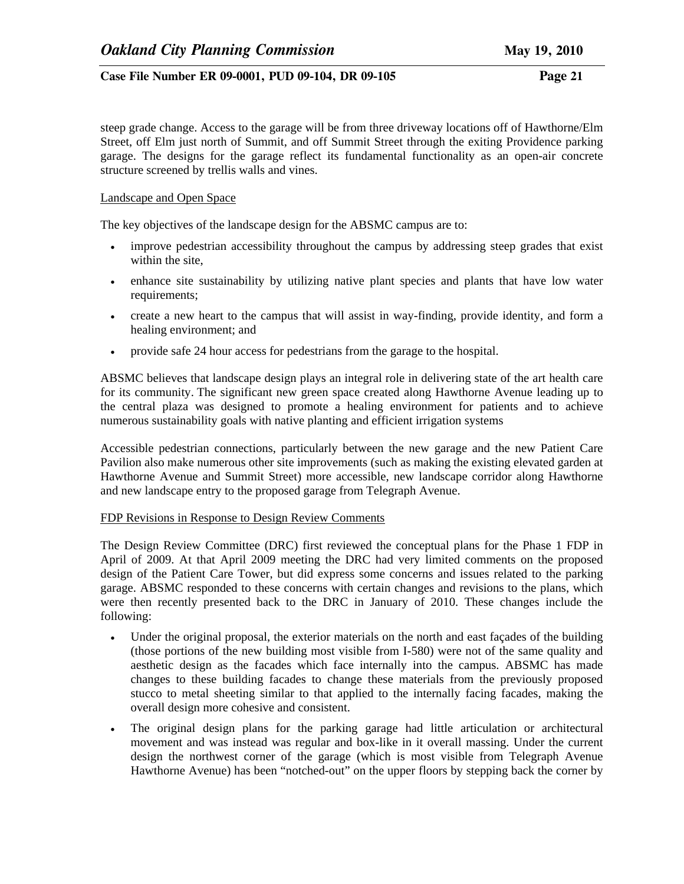steep grade change. Access to the garage will be from three driveway locations off of Hawthorne/Elm Street, off Elm just north of Summit, and off Summit Street through the exiting Providence parking garage. The designs for the garage reflect its fundamental functionality as an open-air concrete structure screened by trellis walls and vines.

### Landscape and Open Space

The key objectives of the landscape design for the ABSMC campus are to:

- improve pedestrian accessibility throughout the campus by addressing steep grades that exist within the site,
- enhance site sustainability by utilizing native plant species and plants that have low water requirements;
- create a new heart to the campus that will assist in way-finding, provide identity, and form a healing environment; and
- provide safe 24 hour access for pedestrians from the garage to the hospital.

ABSMC believes that landscape design plays an integral role in delivering state of the art health care for its community. The significant new green space created along Hawthorne Avenue leading up to the central plaza was designed to promote a healing environment for patients and to achieve numerous sustainability goals with native planting and efficient irrigation systems

Accessible pedestrian connections, particularly between the new garage and the new Patient Care Pavilion also make numerous other site improvements (such as making the existing elevated garden at Hawthorne Avenue and Summit Street) more accessible, new landscape corridor along Hawthorne and new landscape entry to the proposed garage from Telegraph Avenue.

#### FDP Revisions in Response to Design Review Comments

The Design Review Committee (DRC) first reviewed the conceptual plans for the Phase 1 FDP in April of 2009. At that April 2009 meeting the DRC had very limited comments on the proposed design of the Patient Care Tower, but did express some concerns and issues related to the parking garage. ABSMC responded to these concerns with certain changes and revisions to the plans, which were then recently presented back to the DRC in January of 2010. These changes include the following:

- Under the original proposal, the exterior materials on the north and east facades of the building (those portions of the new building most visible from I-580) were not of the same quality and aesthetic design as the facades which face internally into the campus. ABSMC has made changes to these building facades to change these materials from the previously proposed stucco to metal sheeting similar to that applied to the internally facing facades, making the overall design more cohesive and consistent.
- The original design plans for the parking garage had little articulation or architectural movement and was instead was regular and box-like in it overall massing. Under the current design the northwest corner of the garage (which is most visible from Telegraph Avenue Hawthorne Avenue) has been "notched-out" on the upper floors by stepping back the corner by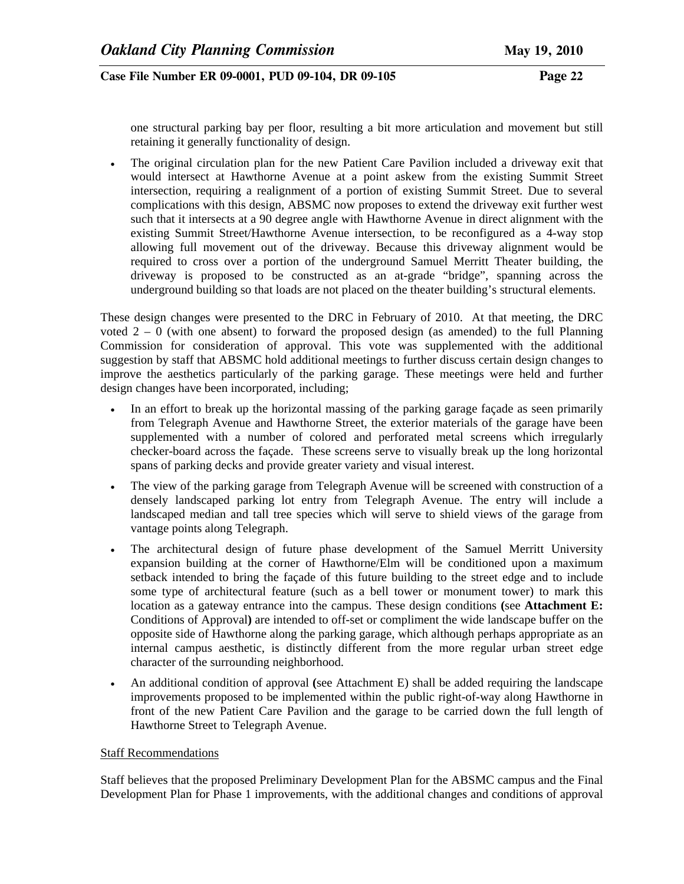one structural parking bay per floor, resulting a bit more articulation and movement but still retaining it generally functionality of design.

• The original circulation plan for the new Patient Care Pavilion included a driveway exit that would intersect at Hawthorne Avenue at a point askew from the existing Summit Street intersection, requiring a realignment of a portion of existing Summit Street. Due to several complications with this design, ABSMC now proposes to extend the driveway exit further west such that it intersects at a 90 degree angle with Hawthorne Avenue in direct alignment with the existing Summit Street/Hawthorne Avenue intersection, to be reconfigured as a 4-way stop allowing full movement out of the driveway. Because this driveway alignment would be required to cross over a portion of the underground Samuel Merritt Theater building, the driveway is proposed to be constructed as an at-grade "bridge", spanning across the underground building so that loads are not placed on the theater building's structural elements.

These design changes were presented to the DRC in February of 2010. At that meeting, the DRC voted  $2 - 0$  (with one absent) to forward the proposed design (as amended) to the full Planning Commission for consideration of approval. This vote was supplemented with the additional suggestion by staff that ABSMC hold additional meetings to further discuss certain design changes to improve the aesthetics particularly of the parking garage. These meetings were held and further design changes have been incorporated, including;

- In an effort to break up the horizontal massing of the parking garage façade as seen primarily from Telegraph Avenue and Hawthorne Street, the exterior materials of the garage have been supplemented with a number of colored and perforated metal screens which irregularly checker-board across the façade. These screens serve to visually break up the long horizontal spans of parking decks and provide greater variety and visual interest.
- The view of the parking garage from Telegraph Avenue will be screened with construction of a densely landscaped parking lot entry from Telegraph Avenue. The entry will include a landscaped median and tall tree species which will serve to shield views of the garage from vantage points along Telegraph.
- The architectural design of future phase development of the Samuel Merritt University expansion building at the corner of Hawthorne/Elm will be conditioned upon a maximum setback intended to bring the façade of this future building to the street edge and to include some type of architectural feature (such as a bell tower or monument tower) to mark this location as a gateway entrance into the campus. These design conditions **(**see **Attachment E:**  Conditions of Approval**)** are intended to off-set or compliment the wide landscape buffer on the opposite side of Hawthorne along the parking garage, which although perhaps appropriate as an internal campus aesthetic, is distinctly different from the more regular urban street edge character of the surrounding neighborhood.
- An additional condition of approval **(**see Attachment E) shall be added requiring the landscape improvements proposed to be implemented within the public right-of-way along Hawthorne in front of the new Patient Care Pavilion and the garage to be carried down the full length of Hawthorne Street to Telegraph Avenue.

## Staff Recommendations

Staff believes that the proposed Preliminary Development Plan for the ABSMC campus and the Final Development Plan for Phase 1 improvements, with the additional changes and conditions of approval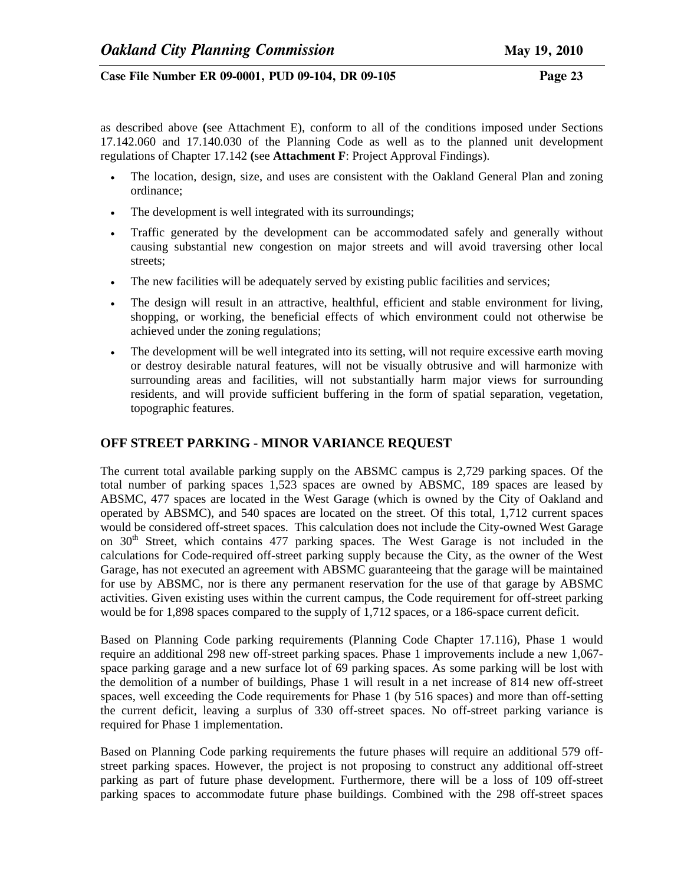as described above **(**see Attachment E), conform to all of the conditions imposed under Sections 17.142.060 and 17.140.030 of the Planning Code as well as to the planned unit development regulations of Chapter 17.142 **(**see **Attachment F**: Project Approval Findings).

- The location, design, size, and uses are consistent with the Oakland General Plan and zoning ordinance;
- The development is well integrated with its surroundings;
- Traffic generated by the development can be accommodated safely and generally without causing substantial new congestion on major streets and will avoid traversing other local streets;
- The new facilities will be adequately served by existing public facilities and services;
- The design will result in an attractive, healthful, efficient and stable environment for living, shopping, or working, the beneficial effects of which environment could not otherwise be achieved under the zoning regulations;
- The development will be well integrated into its setting, will not require excessive earth moving or destroy desirable natural features, will not be visually obtrusive and will harmonize with surrounding areas and facilities, will not substantially harm major views for surrounding residents, and will provide sufficient buffering in the form of spatial separation, vegetation, topographic features.

# **OFF STREET PARKING - MINOR VARIANCE REQUEST**

The current total available parking supply on the ABSMC campus is 2,729 parking spaces. Of the total number of parking spaces 1,523 spaces are owned by ABSMC, 189 spaces are leased by ABSMC, 477 spaces are located in the West Garage (which is owned by the City of Oakland and operated by ABSMC), and 540 spaces are located on the street. Of this total, 1,712 current spaces would be considered off-street spaces. This calculation does not include the City-owned West Garage on  $30<sup>th</sup>$  Street, which contains 477 parking spaces. The West Garage is not included in the calculations for Code-required off-street parking supply because the City, as the owner of the West Garage, has not executed an agreement with ABSMC guaranteeing that the garage will be maintained for use by ABSMC, nor is there any permanent reservation for the use of that garage by ABSMC activities. Given existing uses within the current campus, the Code requirement for off-street parking would be for 1,898 spaces compared to the supply of 1,712 spaces, or a 186-space current deficit.

Based on Planning Code parking requirements (Planning Code Chapter 17.116), Phase 1 would require an additional 298 new off-street parking spaces. Phase 1 improvements include a new 1,067 space parking garage and a new surface lot of 69 parking spaces. As some parking will be lost with the demolition of a number of buildings, Phase 1 will result in a net increase of 814 new off-street spaces, well exceeding the Code requirements for Phase 1 (by 516 spaces) and more than off-setting the current deficit, leaving a surplus of 330 off-street spaces. No off-street parking variance is required for Phase 1 implementation.

Based on Planning Code parking requirements the future phases will require an additional 579 offstreet parking spaces. However, the project is not proposing to construct any additional off-street parking as part of future phase development. Furthermore, there will be a loss of 109 off-street parking spaces to accommodate future phase buildings. Combined with the 298 off-street spaces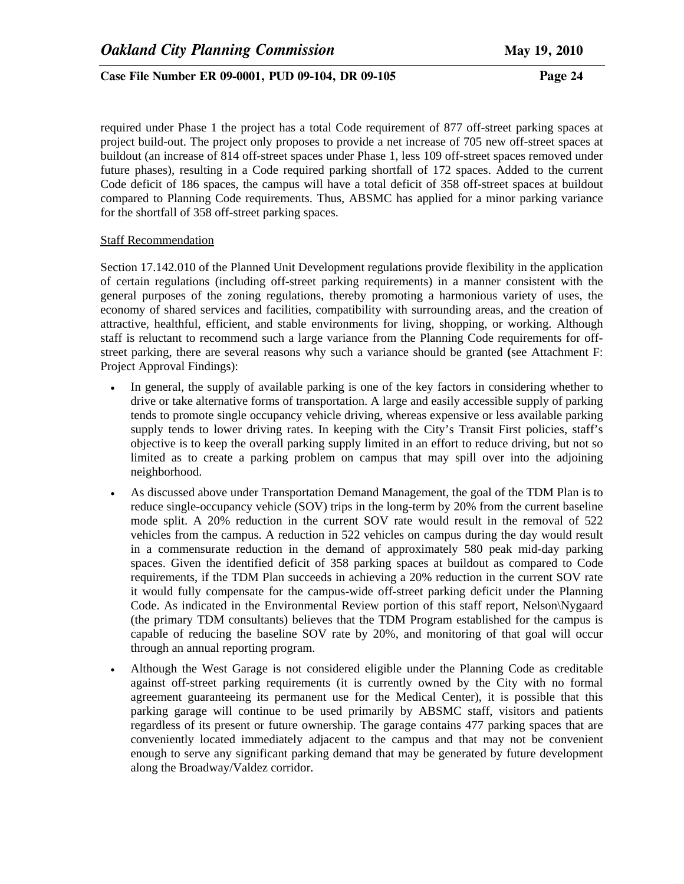required under Phase 1 the project has a total Code requirement of 877 off-street parking spaces at project build-out. The project only proposes to provide a net increase of 705 new off-street spaces at buildout (an increase of 814 off-street spaces under Phase 1, less 109 off-street spaces removed under future phases), resulting in a Code required parking shortfall of 172 spaces. Added to the current Code deficit of 186 spaces, the campus will have a total deficit of 358 off-street spaces at buildout compared to Planning Code requirements. Thus, ABSMC has applied for a minor parking variance for the shortfall of 358 off-street parking spaces.

#### Staff Recommendation

Section 17.142.010 of the Planned Unit Development regulations provide flexibility in the application of certain regulations (including off-street parking requirements) in a manner consistent with the general purposes of the zoning regulations, thereby promoting a harmonious variety of uses, the economy of shared services and facilities, compatibility with surrounding areas, and the creation of attractive, healthful, efficient, and stable environments for living, shopping, or working. Although staff is reluctant to recommend such a large variance from the Planning Code requirements for offstreet parking, there are several reasons why such a variance should be granted **(**see Attachment F: Project Approval Findings):

- In general, the supply of available parking is one of the key factors in considering whether to drive or take alternative forms of transportation. A large and easily accessible supply of parking tends to promote single occupancy vehicle driving, whereas expensive or less available parking supply tends to lower driving rates. In keeping with the City's Transit First policies, staff's objective is to keep the overall parking supply limited in an effort to reduce driving, but not so limited as to create a parking problem on campus that may spill over into the adjoining neighborhood.
- As discussed above under Transportation Demand Management, the goal of the TDM Plan is to reduce single-occupancy vehicle (SOV) trips in the long-term by 20% from the current baseline mode split. A 20% reduction in the current SOV rate would result in the removal of 522 vehicles from the campus. A reduction in 522 vehicles on campus during the day would result in a commensurate reduction in the demand of approximately 580 peak mid-day parking spaces. Given the identified deficit of 358 parking spaces at buildout as compared to Code requirements, if the TDM Plan succeeds in achieving a 20% reduction in the current SOV rate it would fully compensate for the campus-wide off-street parking deficit under the Planning Code. As indicated in the Environmental Review portion of this staff report, Nelson\Nygaard (the primary TDM consultants) believes that the TDM Program established for the campus is capable of reducing the baseline SOV rate by 20%, and monitoring of that goal will occur through an annual reporting program.
- Although the West Garage is not considered eligible under the Planning Code as creditable against off-street parking requirements (it is currently owned by the City with no formal agreement guaranteeing its permanent use for the Medical Center), it is possible that this parking garage will continue to be used primarily by ABSMC staff, visitors and patients regardless of its present or future ownership. The garage contains 477 parking spaces that are conveniently located immediately adjacent to the campus and that may not be convenient enough to serve any significant parking demand that may be generated by future development along the Broadway/Valdez corridor.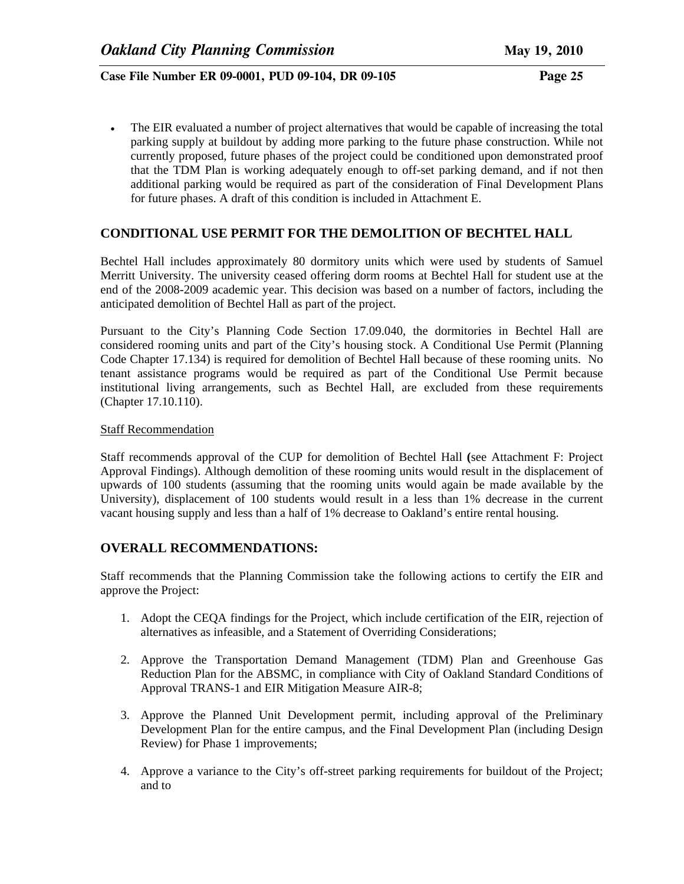• The EIR evaluated a number of project alternatives that would be capable of increasing the total parking supply at buildout by adding more parking to the future phase construction. While not currently proposed, future phases of the project could be conditioned upon demonstrated proof that the TDM Plan is working adequately enough to off-set parking demand, and if not then additional parking would be required as part of the consideration of Final Development Plans for future phases. A draft of this condition is included in Attachment E.

# **CONDITIONAL USE PERMIT FOR THE DEMOLITION OF BECHTEL HALL**

Bechtel Hall includes approximately 80 dormitory units which were used by students of Samuel Merritt University. The university ceased offering dorm rooms at Bechtel Hall for student use at the end of the 2008-2009 academic year. This decision was based on a number of factors, including the anticipated demolition of Bechtel Hall as part of the project.

Pursuant to the City's Planning Code Section 17.09.040, the dormitories in Bechtel Hall are considered rooming units and part of the City's housing stock. A Conditional Use Permit (Planning Code Chapter 17.134) is required for demolition of Bechtel Hall because of these rooming units. No tenant assistance programs would be required as part of the Conditional Use Permit because institutional living arrangements, such as Bechtel Hall, are excluded from these requirements (Chapter 17.10.110).

## Staff Recommendation

Staff recommends approval of the CUP for demolition of Bechtel Hall **(**see Attachment F: Project Approval Findings). Although demolition of these rooming units would result in the displacement of upwards of 100 students (assuming that the rooming units would again be made available by the University), displacement of 100 students would result in a less than 1% decrease in the current vacant housing supply and less than a half of 1% decrease to Oakland's entire rental housing.

# **OVERALL RECOMMENDATIONS:**

Staff recommends that the Planning Commission take the following actions to certify the EIR and approve the Project:

- 1. Adopt the CEQA findings for the Project, which include certification of the EIR, rejection of alternatives as infeasible, and a Statement of Overriding Considerations;
- 2. Approve the Transportation Demand Management (TDM) Plan and Greenhouse Gas Reduction Plan for the ABSMC, in compliance with City of Oakland Standard Conditions of Approval TRANS-1 and EIR Mitigation Measure AIR-8;
- 3. Approve the Planned Unit Development permit, including approval of the Preliminary Development Plan for the entire campus, and the Final Development Plan (including Design Review) for Phase 1 improvements;
- 4. Approve a variance to the City's off-street parking requirements for buildout of the Project; and to